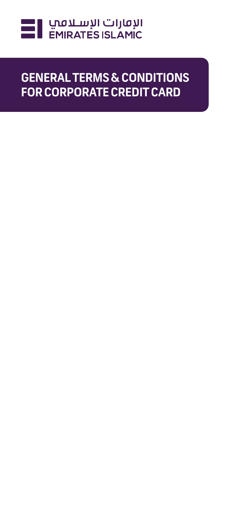

# **GENERAL TERMS & CONDITIONS FOR CORPORATE CREDIT CARD**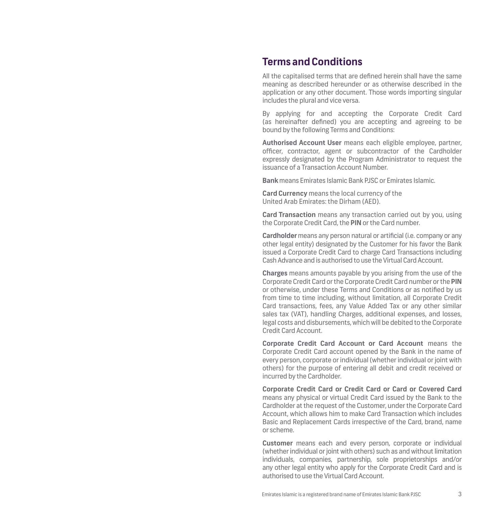## **Terms and Conditions**

All the capitalised terms that are defined herein shall have the same meaning as described hereunder or as otherwise described in the application or any other document. Those words importing singular includes the plural and vice versa.

By applying for and accepting the Corporate Credit Card (as hereinafter defined) you are accepting and agreeing to be bound by the following Terms and Conditions:

**Authorised Account User** means each eligible employee, partner, officer, contractor, agent or subcontractor of the Cardholder expressly designated by the Program Administrator to request the issuance of a Transaction Account Number.

**Bank** means Emirates Islamic Bank PJSC or Emirates Islamic.

**Card Currency** means the local currency of the United Arab Emirates: the Dirham (AED).

**Card Transaction** means any transaction carried out by you, using the Corporate Credit Card, the **PIN** or the Card number.

**Cardholder** means any person natural or artificial (i.e. company or any other legal entity) designated by the Customer for his favor the Bank issued a Corporate Credit Card to charge Card Transactions including Cash Advance and is authorised to use the Virtual Card Account.

**Charges** means amounts payable by you arising from the use of the Corporate Credit Card or the Corporate Credit Card number or the **PIN** or otherwise, under these Terms and Conditions or as notified by us from time to time including, without limitation, all Corporate Credit Card transactions, fees, any Value Added Tax or any other similar sales tax (VAT), handling Charges, additional expenses, and losses, legal costs and disbursements, which will be debited to the Corporate Credit Card Account.

**Corporate Credit Card Account or Card Account** means the Corporate Credit Card account opened by the Bank in the name of every person, corporate or individual (whether individual or joint with others) for the purpose of entering all debit and credit received or incurred by the Cardholder.

**Corporate Credit Card or Credit Card or Card or Covered Card** means any physical or virtual Credit Card issued by the Bank to the Cardholder at the request of the Customer, under the Corporate Card Account, which allows him to make Card Transaction which includes Basic and Replacement Cards irrespective of the Card, brand, name or scheme.

**Customer** means each and every person, corporate or individual (whether individual or joint with others) such as and without limitation individuals, companies, partnership, sole proprietorships and/or any other legal entity who apply for the Corporate Credit Card and is authorised to use the Virtual Card Account.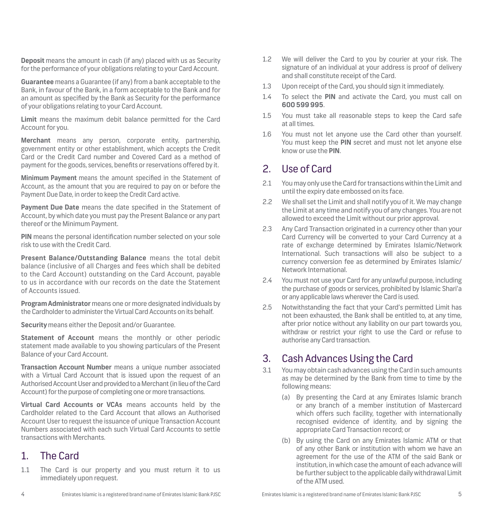**Deposit** means the amount in cash (if any) placed with us as Security for the performance of your obligations relating to your Card Account.

**Guarantee** means a Guarantee (if any) from a bank acceptable to the Bank, in favour of the Bank, in a form acceptable to the Bank and for an amount as specified by the Bank as Security for the performance of your obligations relating to your Card Account.

**Limit** means the maximum debit balance permitted for the Card Account for you.

**Merchant** means any person, corporate entity, partnership, government entity or other establishment, which accepts the Credit Card or the Credit Card number and Covered Card as a method of payment for the goods, services, benefits or reservations offered by it.

**Minimum Payment** means the amount specified in the Statement of Account, as the amount that you are required to pay on or before the Payment Due Date, in order to keep the Credit Card active.

**Payment Due Date** means the date specified in the Statement of Account, by which date you must pay the Present Balance or any part thereof or the Minimum Payment.

**PIN** means the personal identification number selected on your sole risk to use with the Credit Card.

**Present Balance/Outstanding Balance** means the total debit balance (inclusive of all Charges and fees which shall be debited to the Card Account) outstanding on the Card Account, payable to us in accordance with our records on the date the Statement of Accounts issued.

**Program Administrator** means one or more designated individuals by the Cardholder to administer the Virtual Card Accounts on its behalf.

**Security** means either the Deposit and/or Guarantee.

**Statement of Account** means the monthly or other periodic statement made available to you showing particulars of the Present Balance of your Card Account.

**Transaction Account Number** means a unique number associated with a Virtual Card Account that is issued upon the request of an Authorised Account User and provided to a Merchant (in lieu of the Card Account) for the purpose of completing one or more transactions.

**Virtual Card Accounts or VCAs** means accounts held by the Cardholder related to the Card Account that allows an Authorised Account User to request the issuance of unique Transaction Account Numbers associated with each such Virtual Card Accounts to settle transactions with Merchants.

## 1. The Card

1.1 The Card is our property and you must return it to us immediately upon request.

- 1.2 We will deliver the Card to you by courier at your risk. The signature of an individual at your address is proof of delivery and shall constitute receipt of the Card.
- 1.3 Upon receipt of the Card, you should sign it immediately.
- 1.4 To select the **PIN** and activate the Card, you must call on **600 599 995**.
- 1.5 You must take all reasonable steps to keep the Card safe at all times.
- 1.6 You must not let anyone use the Card other than yourself. You must keep the **PIN** secret and must not let anyone else know or use the **PIN**.

## 2. Use of Card

- 2.1 You may only use the Card for transactions within the Limit and until the expiry date embossed on its face.
- 2.2 We shall set the Limit and shall notify you of it. We may change the Limit at any time and notify you of any changes. You are not allowed to exceed the Limit without our prior approval.
- 2.3 Any Card Transaction originated in a currency other than your Card Currency will be converted to your Card Currency at a rate of exchange determined by Emirates Islamic/Network International. Such transactions will also be subject to a currency conversion fee as determined by Emirates Islamic/ Network International.
- 2.4 You must not use your Card for any unlawful purpose, including the purchase of goods or services, prohibited by Islamic Shari'a or any applicable laws wherever the Card is used.
- 2.5 Notwithstanding the fact that your Card's permitted Limit has not been exhausted, the Bank shall be entitled to, at any time, after prior notice without any liability on our part towards you, withdraw or restrict your right to use the Card or refuse to authorise any Card transaction.

## 3. Cash Advances Using the Card

- 3.1 You may obtain cash advances using the Card in such amounts as may be determined by the Bank from time to time by the following means:
	- (a) By presenting the Card at any Emirates Islamic branch or any branch of a member institution of Mastercard which offers such facility, together with internationally recognised evidence of identity, and by signing the appropriate Card Transaction record; or
	- (b) By using the Card on any Emirates Islamic ATM or that of any other Bank or institution with whom we have an agreement for the use of the ATM of the said Bank or institution, in which case the amount of each advance will be further subject to the applicable daily withdrawal Limit of the ATM used.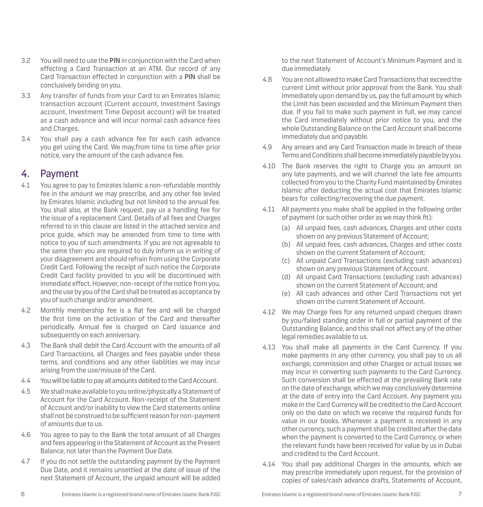- 3.2 You will need to use the **PIN** in conjunction with the Card when effecting a Card Transaction at an ATM. Our record of any Card Transaction effected in conjunction with a **PIN** shall be conclusively binding on you.
- 3.3 Any transfer of funds from your Card to an Emirates Islamic transaction account (Current account, Investment Savings account, Investment Time Deposit account) will be treated as a cash advance and will incur normal cash advance fees and Charges.
- 3.4 You shall pay a cash advance fee for each cash advance you get using the Card. We may,from time to time after prior notice, vary the amount of the cash advance fee.

## 4. Payment

- 4.1 You agree to pay to Emirates Islamic a non-refundable monthly fee in the amount we may prescribe, and any other fee levied by Emirates Islamic including but not limited to the annual fee. You shall also, at the Bank request, pay us a handling fee for the issue of a replacement Card. Details of all fees and Charges referred to in this clause are listed in the attached service and price guide, which may be amended from time to time with notice to you of such amendments. If you are not agreeable to the same then you are required to duly inform us in writing of your disagreement and should refrain from using the Corporate Credit Card. Following the receipt of such notice the Corporate Credit Card facility provided to you will be discontinued with immediate effect. However, non-receipt of the notice from you, and the use by you of the Card shall be treated as acceptance by you of such change and/or amendment.
- 4.2 Monthly membership fee is a flat fee and will be charged the first time on the activation of the Card and thereafter periodically. Annual fee is charged on Card issuance and subsequently on each anniversary.
- 4.3 The Bank shall debit the Card Account with the amounts of all Card Transactions, all Charges and fees payable under these terms, and conditions and any other liabilities we may incur arising from the use/misuse of the Card.
- 4.4 You will be liable to pay all amounts debited to the Card Account.
- 4.5 We shall make available to you online/physically a Statement of Account for the Card Account. Non-receipt of the Statement of Account and/or inability to view the Card statements online shall not be construed to be sufficient reason for non-payment of amounts due to us.
- 4.6 You agree to pay to the Bank the total amount of all Charges and fees appearing in the Statement of Account as the Present Balance, not later than the Payment Due Date.
- 4.7 If you do not settle the outstanding payment by the Payment Due Date, and it remains unsettled at the date of issue of the next Statement of Account, the unpaid amount will be added

to the next Statement of Account's Minimum Payment and is due immediately.

- 4.8 You are not allowed to make Card Transactions that exceed the current Limit without prior approval from the Bank. You shall immediately upon demand by us, pay the full amount by which the Limit has been exceeded and the Minimum Payment then due. If you fail to make such payment in full, we may cancel the Card immediately without prior notice to you, and the whole Outstanding Balance on the Card Account shall become immediately due and payable.
- 4.9 Any arrears and any Card Transaction made in breach of these Terms and Conditions shall become immediately payable by you.
- 4.10 The Bank reserves the right to Charge you an amount on any late payments, and we will channel the late fee amounts collected from you to the Charity Fund maintained by Emirates Islamic after deducting the actual cost that Emirates Islamic bears for collecting/recovering the due payment.
- 4.11 All payments you make shall be applied in the following order of payment (or such other order as we may think fit):
	- (a) All unpaid fees, cash advances, Charges and other costs shown on any previous Statement of Account;
	- (b) All unpaid fees, cash advances, Charges and other costs shown on the current Statement of Account;
	- (c) All unpaid Card Transactions (excluding cash advances) shown on any previous Statement of Account.
	- (d) All unpaid Card Transactions (excluding cash advances) shown on the current Statement of Account; and
	- (e) All cash advances and other Card Transactions not yet shown on the current Statement of Account.
- 4.12 We may Charge fees for any returned unpaid cheques drawn by you/failed standing order in full or partial payment of the Outstanding Balance, and this shall not affect any of the other legal remedies available to us.
- 4.13 You shall make all payments in the Card Currency. If you make payments in any other currency, you shall pay to us all exchange, commission and other Charges or actual losses we may incur in converting such payments to the Card Currency. Such conversion shall be effected at the prevailing Bank rate on the date of exchange, which we may conclusively determine at the date of entry into the Card Account. Any payment you make in the Card Currency will be credited to the Card Account only on the date on which we receive the required funds for value in our books. Whenever a payment is received in any other currency, such a payment shall be credited after the date when the payment is converted to the Card Currency, or when the relevant funds have been received for value by us in Dubai and credited to the Card Account.
- 4.14 You shall pay additional Charges in the amounts, which we may prescribe immediately upon request, for the provision of copies of sales/cash advance drafts, Statements of Account,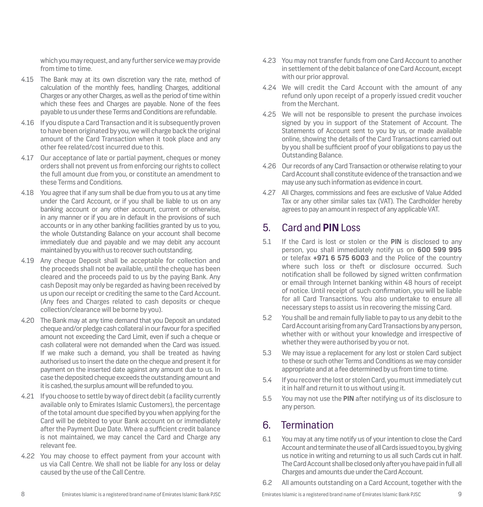which you may request, and any further service we may provide from time to time.

- 4.15 The Bank may at its own discretion vary the rate, method of calculation of the monthly fees, handling Charges, additional Charges or any other Charges, as well as the period of time within which these fees and Charges are payable. None of the fees payable to us under these Terms and Conditions are refundable.
- 4.16 If you dispute a Card Transaction and it is subsequently proven to have been originated by you, we will charge back the original amount of the Card Transaction when it took place and any other fee related/cost incurred due to this.
- 4.17 Our acceptance of late or partial payment, cheques or money orders shall not prevent us from enforcing our rights to collect the full amount due from you, or constitute an amendment to these Terms and Conditions.
- 4.18 You agree that if any sum shall be due from you to us at any time under the Card Account, or if you shall be liable to us on any banking account or any other account, current or otherwise, in any manner or if you are in default in the provisions of such accounts or in any other banking facilities granted by us to you, the whole Outstanding Balance on your account shall become immediately due and payable and we may debit any account maintained by you with us to recover such outstanding.
- 4.19 Any cheque Deposit shall be acceptable for collection and the proceeds shall not be available, until the cheque has been cleared and the proceeds paid to us by the paying Bank. Any cash Deposit may only be regarded as having been received by us upon our receipt or crediting the same to the Card Account. (Any fees and Charges related to cash deposits or cheque collection/clearance will be borne by you).
- 4.20 The Bank may at any time demand that you Deposit an undated cheque and/or pledge cash collateral in our favour for a specified amount not exceeding the Card Limit, even if such a cheque or cash collateral were not demanded when the Card was issued. If we make such a demand, you shall be treated as having authorised us to insert the date on the cheque and present it for payment on the inserted date against any amount due to us. In case the deposited cheque exceeds the outstanding amount and it is cashed, the surplus amount will be refunded to you.
- 4.21 If you choose to settle by way of direct debit (a facility currently available only to Emirates Islamic Customers), the percentage of the total amount due specified by you when applying for the Card will be debited to your Bank account on or immediately after the Payment Due Date. Where a sufficient credit balance is not maintained, we may cancel the Card and Charge any relevant fee.
- 4.22 You may choose to effect payment from your account with us via Call Centre. We shall not be liable for any loss or delay caused by the use of the Call Centre.
- 4.23 You may not transfer funds from one Card Account to another in settlement of the debit balance of one Card Account, except with our prior approval.
- 4.24 We will credit the Card Account with the amount of any refund only upon receipt of a properly issued credit voucher from the Merchant.
- 4.25 We will not be responsible to present the purchase invoices signed by you in support of the Statement of Account. The Statements of Account sent to you by us, or made available online, showing the details of the Card Transactions carried out by you shall be sufficient proof of your obligations to pay us the Outstanding Balance.
- 4.26 Our records of any Card Transaction or otherwise relating to your Card Account shall constitute evidence of the transaction and we may use any such information as evidence in court.
- 4.27 All Charges, commissions and fees are exclusive of Value Added Tax or any other similar sales tax (VAT). The Cardholder hereby agrees to pay an amount in respect of any applicable VAT.

## 5. Card and **PIN** Loss

- 5.1 If the Card is lost or stolen or the **PIN** is disclosed to any person, you shall immediately notify us on **600 599 995** or telefax **+971 6 575 6003** and the Police of the country where such loss or theft or disclosure occurred. Such notification shall be followed by signed written confirmation or email through Internet banking within 48 hours of receipt of notice. Until receipt of such confirmation, you will be liable for all Card Transactions. You also undertake to ensure all necessary steps to assist us in recovering the missing Card.
- 5.2 You shall be and remain fully liable to pay to us any debit to the Card Account arising from any Card Transactions by any person, whether with or without your knowledge and irrespective of whether they were authorised by you or not.
- 5.3 We may issue a replacement for any lost or stolen Card subject to these or such other Terms and Conditions as we may consider appropriate and at a fee determined by us from time to time.
- 5.4 If you recover the lost or stolen Card, you must immediately cut it in half and return it to us without using it.
- 5.5 You may not use the **PIN** after notifying us of its disclosure to any person.

# 6. Termination

- 6.1 You may at any time notify us of your intention to close the Card Account and terminate the use of all Cards issued to you, by giving us notice in writing and returning to us all such Cards cut in half. The Card Account shall be closed only after you have paid in full all Charges and amounts due under the Card Account.
- 6.2 All amounts outstanding on a Card Account, together with the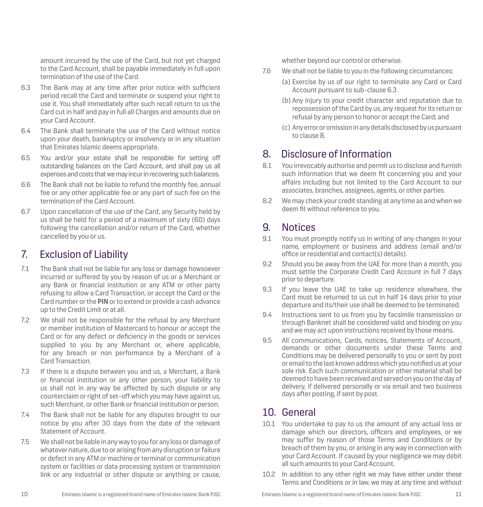amount incurred by the use of the Card, but not yet charged to the Card Account, shall be payable immediately in full upon termination of the use of the Card.

- 6.3 The Bank may at any time after prior notice with sufficient period recall the Card and terminate or suspend your right to use it. You shall immediately after such recall return to us the Card cut in half and pay in full all Charges and amounts due on your Card Account.
- 6.4 The Bank shall terminate the use of the Card without notice upon your death, bankruptcy or insolvency or in any situation that Emirates Islamic deems appropriate.
- 6.5 You and/or your estate shall be responsible for setting off outstanding balances on the Card Account, and shall pay us all expenses and costs that we may incur in recovering such balances.
- 6.6 The Bank shall not be liable to refund the monthly fee, annual fee or any other applicable fee or any part of such fee on the termination of the Card Account.
- 6.7 Upon cancellation of the use of the Card, any Security held by us shall be held for a period of a maximum of sixty (60) days following the cancellation and/or return of the Card, whether cancelled by you or us.

## 7. Exclusion of Liability

- 7.1 The Bank shall not be liable for any loss or damage howsoever incurred or suffered by you by reason of us or a Merchant or any Bank or financial institution or any ATM or other party refusing to allow a Card Transaction, or accept the Card or the Card number or the **PIN** or to extend or provide a cash advance up to the Credit Limit or at all.
- 7.2 We shall not be responsible for the refusal by any Merchant or member institution of Mastercard to honour or accept the Card or for any defect or deficiency in the goods or services supplied to you by any Merchant or, where applicable, for any breach or non performance by a Merchant of a Card Transaction.
- 7.3 If there is a dispute between you and us, a Merchant, a Bank or financial institution or any other person, your liability to us shall not in any way be affected by such dispute or any counterclaim or right of set-off which you may have against us, such Merchant, or other Bank or financial institution or person.
- 7.4 The Bank shall not be liable for any disputes brought to our notice by you after 30 days from the date of the relevant Statement of Account.
- 7.5 We shall not be liable in any way to you for any loss or damage of whatever nature, due to or arising from any disruption or failure or defect in any ATM or machine or terminal or communication system or facilities or data processing system or transmission link or any industrial or other dispute or anything or cause,

whether beyond our control or otherwise.

- 7.6 We shall not be liable to you in the following circumstances:
	- (a) Exercise by us of our right to terminate any Card or Card Account pursuant to sub-clause 6.3 .
	- (b) Any injury to your credit character and reputation due to repossession of the Card by us, any request for its return or refusal by any person to honor or accept the Card; and
	- (c) Any error or omission in any details disclosed by us pursuant to clause 8.

## 8. Disclosure of Information

- 8.1 You irrevocably authorise and permit us to disclose and furnish such information that we deem fit concerning you and your affairs including but not limited to the Card Account to our associates, branches, assignees, agents, or other parties.
- 8.2 We may check your credit standing at any time as and when we deem fit without reference to you.

## 9. Notices

- 9.1 You must promptly notify us in writing of any changes in your name, employment or business and address (email and/or office or residential and contact(s) details).
- 9.2 Should you be away from the UAE for more than a month, you must settle the Corporate Credit Card Account in full 7 days prior to departure.
- 9.3 If you leave the UAE to take up residence elsewhere, the Card must be returned to us cut in half 14 days prior to your departure and its/their use shall be deemed to be terminated.
- 9.4 Instructions sent to us from you by facsimile transmission or through Banknet shall be considered valid and binding on you and we may act upon instructions received by those means.
- 9.5 All communications, Cards, notices, Statements of Account, demands or other documents under these Terms and Conditions may be delivered personally to you or sent by post or email to the last known address which you notified us at your sole risk. Each such communication or other material shall be deemed to have been received and served on you on the day of delivery, if delivered personally or via email and two business days after posting, if sent by post.

# 10. General

- 10.1 You undertake to pay to us the amount of any actual loss or damage which our directors, officers and employees, or we may suffer by reason of those Terms and Conditions or by breach of them by you, or arising in any way in connection with your Card Account. If caused by your negligence we may debit all such amounts to your Card Account.
- 10.2 In addition to any other right we may have either under these Terms and Conditions or in law, we may at any time and without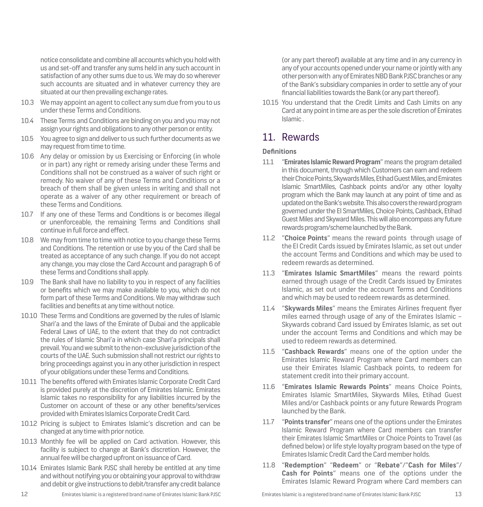notice consolidate and combine all accounts which you hold with us and set-off and transfer any sums held in any such account in satisfaction of any other sums due to us. We may do so wherever such accounts are situated and in whatever currency they are situated at our then prevailing exchange rates.

- 10.3 We may appoint an agent to collect any sum due from you to us under these Terms and Conditions.
- 10.4 These Terms and Conditions are binding on you and you may not assign your rights and obligations to any other person or entity.
- 10.5 You agree to sign and deliver to us such further documents as we may request from time to time.
- 10.6 Any delay or omission by us Exercising or Enforcing (in whole or in part) any right or remedy arising under these Terms and Conditions shall not be construed as a waiver of such right or remedy. No waiver of any of these Terms and Conditions or a breach of them shall be given unless in writing and shall not operate as a waiver of any other requirement or breach of these Terms and Conditions.
- 10.7 If any one of these Terms and Conditions is or becomes illegal or unenforceable, the remaining Terms and Conditions shall continue in full force and effect.
- 10.8 We may from time to time with notice to you change these Terms and Conditions. The retention or use by you of the Card shall be treated as acceptance of any such change. If you do not accept any change, you may close the Card Account and paragraph 6 of these Terms and Conditions shall apply.
- 10.9 The Bank shall have no liability to you in respect of any facilities or benefits which we may make available to you, which do not form part of these Terms and Conditions. We may withdraw such facilities and benefits at any time without notice.
- 10.10 These Terms and Conditions are governed by the rules of Islamic Shari'a and the laws of the Emirate of Dubai and the applicable Federal Laws of UAE, to the extent that they do not contradict the rules of Islamic Shari'a in which case Shari'a principals shall prevail. You and we submit to the non-exclusive jurisdiction of the courts of the UAE. Such submission shall not restrict our rights to bring proceedings against you in any other jurisdiction in respect of your obligations under these Terms and Conditions.
- 10.11 The benefits offered with Emirates Islamic Corporate Credit Card is provided purely at the discretion of Emirates Islamic. Emirates Islamic takes no responsibility for any liabilities incurred by the Customer on account of these or any other benefits/services provided with Emirates Islamics Corporate Credit Card.
- 10.12 Pricing is subject to Emirates Islamic's discretion and can be changed at any time with prior notice.
- 10.13 Monthly fee will be applied on Card activation. However, this facility is subject to change at Bank's discretion. However, the annual fee will be charged upfront on issuance of Card.
- 10.14 Emirates Islamic Bank PJSC shall hereby be entitled at any time and without notifying you or obtaining your approval to withdraw and debit or give instructions to debit/transfer any credit balance

(or any part thereof) available at any time and in any currency in any of your accounts opened under your name or jointly with any other person with any of Emirates NBD Bank PJSC branches or any of the Bank's subsidiary companies in order to settle any of your financial liabilities towards the Bank (or any part thereof).

10.15 You understand that the Credit Limits and Cash Limits on any Card at any point in time are as per the sole discretion of Emirates Islamic .

# 11. Rewards

### **Definitions**

- 11.1 "**Emirates Islamic Reward Program**" means the program detailed in this document, through which Customers can earn and redeem their Choice Points, Skywards Miles, Etihad Guest Miles, and Emirates Islamic SmartMiles, Cashback points and/or any other loyalty program which the Bank may launch at any point of time and as updated on the Bank's website. This also covers the reward program governed under the EI SmartMiles, Choice Points, Cashback, Etihad Guest Miles and Skyward Miles. This will also encompass any future rewards program/scheme launched by the Bank.
- 11.2 "**Choice Points**" means the reward points through usage of the EI Credit Cards issued by Emirates Islamic, as set out under the account Terms and Conditions and which may be used to redeem rewards as determined.
- 11.3 "**Emirates Islamic SmartMiles**" means the reward points earned through usage of the Credit Cards issued by Emirates Islamic, as set out under the account Terms and Conditions and which may be used to redeem rewards as determined.
- 11.4 "**Skywards Miles**" means the Emirates Airlines frequent flyer miles earned through usage of any of the Emirates Islamic – Skywards cobrand Card issued by Emirates Islamic, as set out under the account Terms and Conditions and which may be used to redeem rewards as determined.
- 11.5 "**Cashback Rewards**" means one of the option under the Emirates Islamic Reward Program where Card members can use their Emirates Islamic Cashback points, to redeem for statement credit into their primary account.
- 11.6 "**Emirates Islamic Rewards Points**" means Choice Points, Emirates Islamic SmartMiles, Skywards Miles, Etihad Guest Miles and/or Cashback points or any future Rewards Program launched by the Bank.
- 11.7 "**Points transfer**" means one of the options under the Emirates Islamic Reward Program where Card members can transfer their Emirates Islamic SmartMiles or Choice Points to Travel (as defined below) or life style loyalty program based on the type of Emirates Islamic Credit Card the Card member holds.
- 11.8 "**Redemption**" "**Redeem**" or "**Rebate**"/"**Cash for Miles**"/ **Cash for Points**" means one of the options under the Emirates Islamic Reward Program where Card members can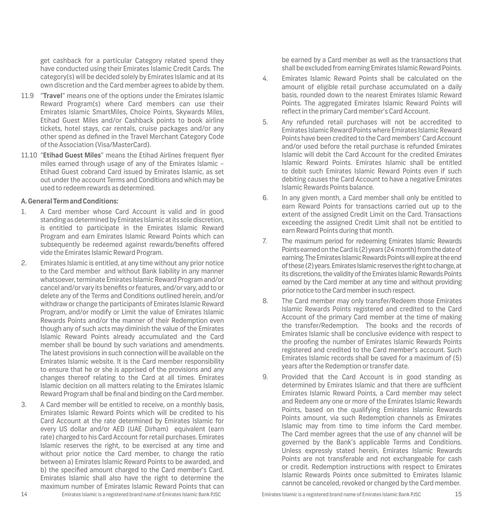get cashback for a particular Category related spend they have conducted using their Emirates Islamic Credit Cards. The category(s) will be decided solely by Emirates Islamic and at its own discretion and the Card member agrees to abide by them.

- 11.9 "**Travel**" means one of the options under the Emirates Islamic Reward Program(s) where Card members can use their Emirates Islamic SmartMiles, Choice Points, Skywards Miles, Etihad Guest Miles and/or Cashback points to book airline tickets, hotel stays, car rentals, cruise packages and/or any other spend as defined in the Travel Merchant Category Code of the Association (Visa/MasterCard).
- 11.10 "**Etihad Guest Miles**" means the Etihad Airlines frequent flyer miles earned through usage of any of the Emirates Islamic – Etihad Guest cobrand Card issued by Emirates Islamic, as set out under the account Terms and Conditions and which may be used to redeem rewards as determined.

### **A. General Term and Conditions:**

- 1. A Card member whose Card Account is valid and in good standing as determined by Emirates Islamic at its sole discretion, is entitled to participate in the Emirates Islamic Reward Program and earn Emirates Islamic Reward Points which can subsequently be redeemed against rewards/benefits offered vide the Emirates Islamic Reward Program.
- 2. Emirates Islamic is entitled, at any time without any prior notice to the Card member and without Bank liability in any manner whatsoever, terminate Emirates Islamic Reward Program and/or cancel and/or vary its benefits or features, and/or vary, add to or delete any of the Terms and Conditions outlined herein, and/or withdraw or change the participants of Emirates Islamic Reward Program, and/or modify or Limit the value of Emirates Islamic Rewards Points and/or the manner of their Redemption even though any of such acts may diminish the value of the Emirates Islamic Reward Points already accumulated and the Card member shall be bound by such variations and amendments. The latest provisions in such connection will be available on the Emirates Islamic website. It is the Card member responsibility to ensure that he or she is apprised of the provisions and any changes thereof relating to the Card at all times. Emirates Islamic decision on all matters relating to the Emirates Islamic Reward Program shall be final and binding on the Card member.
- 3. A Card member will be entitled to receive, on a monthly basis, Emirates Islamic Reward Points which will be credited to his Card Account at the rate determined by Emirates Islamic for every US dollar and/or AED (UAE Dirham) equivalent (earn rate) charged to his Card Account for retail purchases. Emirates Islamic reserves the right, to be exercised at any time and without prior notice the Card member, to change the ratio between a) Emirates Islamic Reward Points to be awarded, and b) the specified amount charged to the Card member's Card. Emirates Islamic shall also have the right to determine the maximum number of Emirates Islamic Reward Points that can

be earned by a Card member as well as the transactions that shall be excluded from earning Emirates Islamic Reward Points.

- 4. Emirates Islamic Reward Points shall be calculated on the amount of eligible retail purchase accumulated on a daily basis, rounded down to the nearest Emirates Islamic Reward Points. The aggregated Emirates Islamic Reward Points will reflect in the primary Card member's Card Account.
- 5. Any refunded retail purchases will not be accredited to Emirates Islamic Reward Points where Emirates Islamic Reward Points have been credited to the Card members' Card Account and/or used before the retail purchase is refunded Emirates Islamic will debit the Card Account for the credited Emirates Islamic Reward Points. Emirates Islamic shall be entitled to debit such Emirates Islamic Reward Points even if such debiting causes the Card Account to have a negative Emirates Islamic Rewards Points balance.
- 6. In any given month, a Card member shall only be entitled to earn Reward Points for transactions carried out up to the extent of the assigned Credit Limit on the Card. Transactions exceeding the assigned Credit Limit shall not be entitled to earn Reward Points during that month.
- 7. The maximum period for redeeming Emirates Islamic Rewards Points earned on the Card is (2) years (24 month) from the date of earning. The Emirates Islamic Rewards Points will expire at the end of these (2) years. Emirates Islamic reserves the right to change, at its discretions, the validity of the Emirates Islamic Rewards Points earned by the Card member at any time and without providing prior notice to the Card member in such respect.
- 8. The Card member may only transfer/Redeem those Emirates Islamic Rewards Points registered and credited to the Card Account of the primary Card member at the time of making the transfer/Redemption. The books and the records of Emirates Islamic shall be conclusive evidence with respect to the proofing the number of Emirates Islamic Rewards Points registered and credited to the Card member's account. Such Emirates Islamic records shall be saved for a maximum of (5) years after the Redemption or transfer date.
- 9. Provided that the Card Account is in good standing as determined by Emirates Islamic and that there are sufficient Emirates Islamic Reward Points, a Card member may select and Redeem any one or more of the Emirates Islamic Rewards Points, based on the qualifying Emirates Islamic Rewards Points amount, via such Redemption channels as Emirates Islamic may from time to time inform the Card member. The Card member agrees that the use of any channel will be governed by the Bank's applicable Terms and Conditions. Unless expressly stated herein, Emirates Islamic Rewards Points are not transferable and not exchangeable for cash or credit. Redemption instructions with respect to Emirates Islamic Rewards Points once submitted to Emirates Islamic cannot be canceled, revoked or changed by the Card member.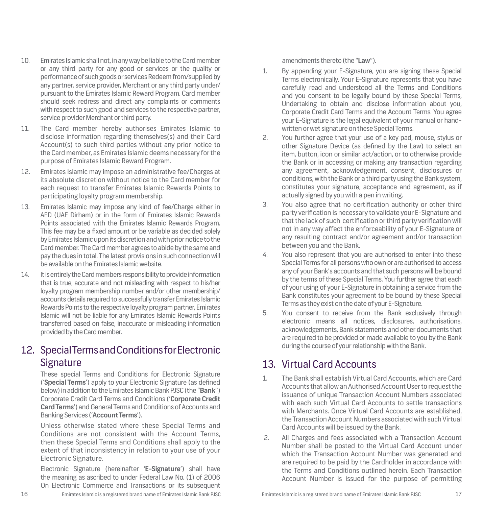- 10. Emirates Islamic shall not, in any way be liable to the Card member or any third party for any good or services or the quality or performance of such goods or services Redeem from/supplied by any partner, service provider, Merchant or any third party under/ pursuant to the Emirates Islamic Reward Program. Card member should seek redress and direct any complaints or comments with respect to such good and services to the respective partner, service provider Merchant or third party.
- 11. The Card member hereby authorises Emirates Islamic to disclose information regarding themselves(s) and their Card Account(s) to such third parties without any prior notice to the Card member, as Emirates Islamic deems necessary for the purpose of Emirates Islamic Reward Program.
- 12. Emirates Islamic may impose an administrative fee/Charges at its absolute discretion without notice to the Card member for each request to transfer Emirates Islamic Rewards Points to participating loyalty program membership.
- 13. Emirates Islamic may impose any kind of fee/Charge either in AED (UAE Dirham) or in the form of Emirates Islamic Rewards Points associated with the Emirates Islamic Rewards Program. This fee may be a fixed amount or be variable as decided solely by Emirates Islamic upon its discretion and with prior notice to the Card member. The Card member agrees to abide by the same and pay the dues in total. The latest provisions in such connection will be available on the Emirates Islamic website.
- 14. It is entirely the Card members responsibility to provide information that is true, accurate and not misleading with respect to his/her loyalty program membership number and/or other membership/ accounts details required to successfully transfer Emirates Islamic Rewards Points to the respective loyalty program partner, Emirates Islamic will not be liable for any Emirates Islamic Rewards Points transferred based on false, inaccurate or misleading information provided by the Card member.

# 12. Special Terms and Conditions for Electronic Signature

These special Terms and Conditions for Electronic Signature ('**Special Terms**') apply to your Electronic Signature (as defined below) in addition to the Emirates Islamic Bank PJSC (the "**Bank**") Corporate Credit Card Terms and Conditions ('**Corporate Credit Card Terms**') and General Terms and Conditions of Accounts and Banking Services ('**Account Terms**').

Unless otherwise stated where these Special Terms and Conditions are not consistent with the Account Terms, then these Special Terms and Conditions shall apply to the extent of that inconsistency in relation to your use of your Electronic Signature.

Electronic Signature (hereinafter '**E-Signature**') shall have the meaning as ascribed to under Federal Law No. (1) of 2006 On Electronic Commerce and Transactions or its subsequent amendments thereto (the "**Law**").

- 1. By appending your E-Signature, you are signing these Special Terms electronically. Your E-Signature represents that you have carefully read and understood all the Terms and Conditions and you consent to be legally bound by these Special Terms, Undertaking to obtain and disclose information about you, Corporate Credit Card Terms and the Account Terms. You agree your E-Signature is the legal equivalent of your manual or handwritten or wet signature on these Special Terms.
- 2. You further agree that your use of a key pad, mouse, stylus or other Signature Device (as defined by the Law) to select an item, button, icon or similar act/action, or to otherwise provide the Bank or in accessing or making any transaction regarding any agreement, acknowledgement, consent, disclosures or conditions, with the Bank or a third party using the Bank system, constitutes your signature, acceptance and agreement, as if actually signed by you with a pen in writing.
- 3. You also agree that no certification authority or other third party verification is necessary to validate your E-Signature and that the lack of such certification or third party verification will not in any way affect the enforceability of your E-Signature or any resulting contract and/or agreement and/or transaction between you and the Bank.
- 4. You also represent that you are authorised to enter into these Special Terms for all persons who own or are authorised to access any of your Bank's accounts and that such persons will be bound by the terms of these Special Terms. You further agree that each of your using of your E-Signature in obtaining a service from the Bank constitutes your agreement to be bound by these Special Terms as they exist on the date of your E-Signature.
- 5. You consent to receive from the Bank exclusively through electronic means all notices, disclosures, authorisations, acknowledgements, Bank statements and other documents that are required to be provided or made available to you by the Bank during the course of your relationship with the Bank.

# 13. Virtual Card Accounts

- 1. The Bank shall establish Virtual Card Accounts, which are Card Accounts that allow an Authorised Account User to request the issuance of unique Transaction Account Numbers associated with each such Virtual Card Accounts to settle transactions with Merchants. Once Virtual Card Accounts are established. the Transaction Account Numbers associated with such Virtual Card Accounts will be issued by the Bank.
- 2. All Charges and fees associated with a Transaction Account Number shall be posted to the Virtual Card Account under which the Transaction Account Number was generated and are required to be paid by the Cardholder in accordance with the Terms and Conditions outlined herein. Each Transaction Account Number is issued for the purpose of permitting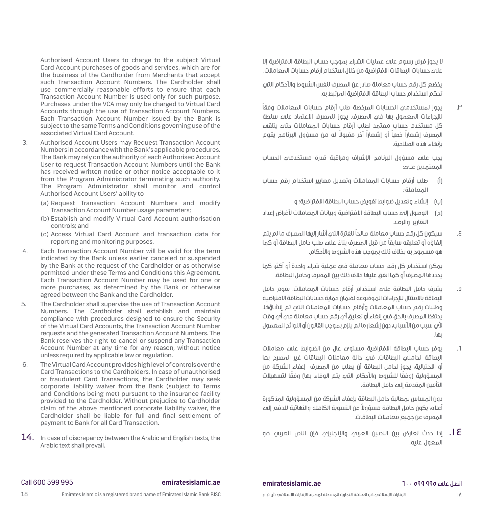Authorised Account Users to charge to the subject Virtual Card Account purchases of goods and services, which are for the business of the Cardholder from Merchants that accept such Transaction Account Numbers. The Cardholder shall use commercially reasonable efforts to ensure that each Transaction Account Number is used only for such purpose. Purchases under the VCA may only be charged to Virtual Card Accounts through the use of Transaction Account Numbers. Each Transaction Account Number issued by the Bank is subject to the same Terms and Conditions governing use of the associated Virtual Card Account.

- 3. Authorised Account Users may Request Transaction Account Numbers in accordance with the Bank's applicable procedures. The Bank may rely on the authority of each Authorised Account User to request Transaction Account Numbers until the Bank has received written notice or other notice acceptable to it from the Program Administrator terminating such authority. The Program Administrator shall monitor and control Authorised Account Users' ability to
	- (a) Request Transaction Account Numbers and modify Transaction Account Number usage parameters;
	- (b) Establish and modify Virtual Card Account authorisation controls; and
	- (c) Access Virtual Card Account and transaction data for reporting and monitoring purposes.
- 4. Each Transaction Account Number will be valid for the term indicated by the Bank unless earlier canceled or suspended by the Bank at the request of the Cardholder or as otherwise permitted under these Terms and Conditions this Agreement. Each Transaction Account Number may be used for one or more purchases, as determined by the Bank or otherwise agreed between the Bank and the Cardholder.
- 5. The Cardholder shall supervise the use of Transaction Account Numbers. The Cardholder shall establish and maintain compliance with procedures designed to ensure the Security of the Virtual Card Accounts, the Transaction Account Number requests and the generated Transaction Account Numbers. The Bank reserves the right to cancel or suspend any Transaction Account Number at any time for any reason, without notice unless required by applicable law or regulation.
- 6. The Virtual Card Account provides high level of controls over the Card Transactions to the Cardholders. In case of unauthorised or fraudulent Card Transactions, the Cardholder may seek corporate liability waiver from the Bank (subject to Terms and Conditions being met) pursuant to the insurance facility provided to the Cardholder. Without prejudice to Cardholder claim of the above mentioned corporate liability waiver, the Cardholder shall be liable for full and final settlement of payment to Bank for all Card Transaction.
- $14.$  In case of discrepancy between the Arabic and English texts, the Arabic text shall prevail.

 ال يجوز فرض رسوم على عمليات الشراء بموجب حساب البطاقة االفتراضية إال على حسابات البطاقات االفتراضية من خالل استخدام أرقام حسابات المعامالت.

يخضع كل رقم حساب معاملة صادر عن المصرف لنفس الشروط واألحكام التي تحكم استخدام حساب البطاقة االفتراضية المرتبط به.

.3 ً يجوز لمستخدمي الحسابات المرخصة طلب أرقام حسابات المعامالت وفقا للإحراءات المعمول بها فيه المصرف. يجوز للمصرف الاعتماد عليه سلطة كل مستخدم حساب معتمد لطلب أرقام حسابات المعامالت حتى يتلقى المصرف إشعاراً ً خطيا أو إشعاراً ً آخر مقبوال له من مسؤول البرنامج يقوم بإنهاء هذه الصالحية.

يجب على مسؤول البرنامج اإلشراف ومراقبة قدرة مستخدمي الحساب المعتمدين على:

- )أ( طلب أرقام حسابات المعامالت وتعديل معايير استخدام رقم حساب المعاملة؛
	- )ب( إنشاء وتعديل ضوابط تفويض حساب البطاقة االفتراضية؛ و
- )ج( الوصول إلى حساب البطاقة االفتراضية وبيانات المعامالت ألغراض إعداد التقارير والرصد.
- .4 ً سيكون كل رقم حساب معاملة صالحا للفترة التي أشار إليها المصرف ما لم يتم إلغاؤه او تعليقه سابقا من قبل المصرف بناءً علمء طلب حامل البطاقة او كما هو مسموح به بخالف ذلك بموجب هذه الشروط واألحكام.

يمكن استخدام كل رقم حساب معاملة فيه عملية شراء واحدة أو أكثر، كما يحددها المصرف أو كما اتفق عليها خالف ذلك بين المصرف وحامل البطاقة.

- .5 يشرف حامل البطاقة على استخدام أرقام حسابات المعامالت. يقوم حامل البطاقة باالمتثال لإلجراءات الموضوعة لضمان حماية حسابات البطاقة االفتراضية وطلبات رقم حساب المعامالت وأرقام حسابات المعامالت التي تم إنشاؤها. يحتفظ المصرف بالحق في إلغاء أو تعليق أي رقم حساب معاملة في أي وقت لأم سبب من الأسباب، دون إشعار ما لم يلزم بموجب القانون أو اللوائد المعمول بها.
- .6 يوفر حساب البطاقة االفتراضية مستوى عال من الضوابط على معامالت البطاقة لحاملي البطاقات. في حالة معامالت البطاقات غير المصرح بها أو االحتيالية، يجوز لحامل البطاقة أن يطلب من المصرف إعفاء الشركة من المسؤولية (وفقًا للشروط والأحكام الت*بَ*ء يتم الوفاء بها) وفقًا لتسهيلات التأمين المقدمة إلى حامل البطاقة.

دون المساس بمطالبة حامل البطاقة بإعفاء الشركة من المسؤولية المذكورة ً أعاله، يكون حامل البطاقة مسؤوال عن التسوية الكاملة والنهائية للدفع إلى المصرف عن جميع معامالت البطاقات.

.14 إذا حدث تعارض بين النصين العربي واإلنجليزي فإن النص العربي هو المعول عليه.

### اتصل على 995 599 600 **ae.emiratesislamic**

## Call 600 599 995 **emiratesislamic.ae**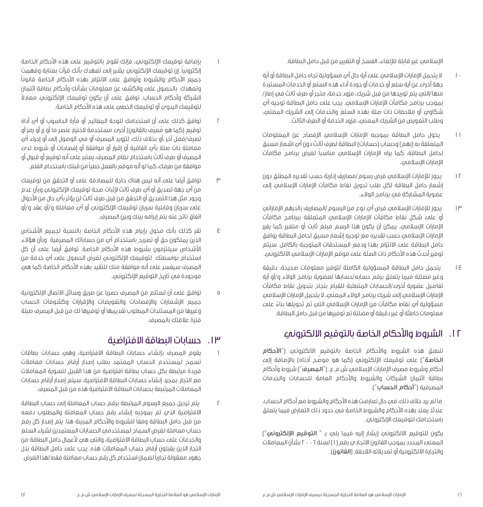اإلسالمي غير قابلة لإللغاء، الفسخ أو التغيير من قبل حامل البطاقة.

- 10 ال يتحمل اإلمارات اإلسالمي على أية حال أي مسؤولية تجاه حامل البطاقة أو أية جهة أخرى عن أية سلع أو خدمات أو جودة أداء هذه السلع أو الخدمات المستردة منها/التهء يتم توريدها من قبل شريك، مزود خدمة، متحر أو طرف ثالث فهء إطار/ بموجب برنامج مكافآت الإمارات الإسلامي. يجب علمـ حامل البطاقة توجيه أيـَـ شكاوي أو مالحظات ذات صلة بهذه السلع والخدمات إلى الشريك المعني، وطلب التعويض من الشريك المعني، مزود الخدمة أو الطرف الثالث.
- 11 يخول حامل البطاقة بموجبه اإلمارات اإلسالمي اإلفصاح عن المعلومات المتعلقة به (بهم) وحساب (حسابات) البطاقة لطرف ثالث دون أي اشعار مسبق ً لحامل البطاقة، كما يراه اإلمارات اإلسالمي مناسبا لغرض برنامج مكافآت اإلمارات اإلسالمي.
- 12 يجوز لإلمارات اإلسالمي فرض رسوم/مصاريف إدارية حسب تقديره المطلق دون إشعار حامل البطاقة لكل طلب تحويل نقاط مكافآت اإلمارات اإلسالمي إلى عضوية المشاركة في برنامج الوالء.
- ١٣ يجوز للإمارات الإسلامي فرض أي نوع من الرسوم/المصاريف بالدرهم الإماراتي أو علمـ شكل نقاط مكافآت الإمارات الإسلامي المتعلقة ببرنامج مكافآت اإلمارات اإلسالمي. يمكن أن يكون هذا الرسم مبلغ ثابت أو متغير كما يقرر اإلمارات اإلسالمي حسب تقديره مع توجيه إشعار مسبق لحامل البطاقة يوافق حامل البطاقة على االلتزام بهذا ودفع المستحقات المتوجبة بالكامل. سيتم توفير أحدث هذه الأحكام ذات الصلة علمء موقع الإمارات الإسلامي الالكتروني.
- 14 يتحمل حامل البطاقة المسؤولية الكاملة لتوفير معلومات صحيحة، دقيقة وغير مضللة فيما يتعلق برقم حسابه/حسابها لعضوية برنامج الوالء و/أو أية تفاصيل عضوية أخرى/الحسابات المتطلبة للقيام بنجاح بتحويل نقاط مكافآت اإلمارات اإلسالمي إلى شريك برنامج الوالء المعني، ال يتحمل اإلمارات اإلسالمي مسؤولية أي نقاط مكافآت من الإمارات الإسلامي التي تم تحويلها بناءً علي معلومات خاطئة أو غير دقيقة أو مضللة تم توفيرها من قبل حامل البطاقة.

## .12 الشروط واألحكام الخاصة بالتوقيع االلكتروني

تنطبق هذه الشروط واألحكام الخاصة بالتوقيع االلكتروني )"**األحكام**  <mark>الخاصة ّ)</mark> علمـَ توقيعك الإلكترونمـِ (كما هو موضّح أدناه) بالإضافة إلمـَ أحكام وشروط مصرف اإلمارات اإلسالمي ش.م.ع. )"**المصرف**"( شروط وأحكام بطاقة ائتمان الشركات والشروط والأحكام العامة للحسابات والخدمات المصرفية )"**أحكام الحساب**"(.

ما لم يرد خلاف ذلك، فيه حال تعارضت هذه الأحكام والشروط مع أحكام الحساب، عندئذ يعتد بهذه الأحكام والشروط الخاصة فيه حدود ذلك التعارض فيما يتعلق باستخدامك لتوقيعك اإللكتروني.

يكون للتوقيع االلكتروني )يشار إليه فيما يلي بـ " **التوقيع اإللكتروني**"( المعنهء المحدد بموجب القانون الاتحادي رقم (١) لسنة ٢٠٠٦ بشأن المعاملات والتجارة االلكترونية أو تعديالته الالحقة. )**القانون**(.

- 1 بإضافة توقيعك اإللكتروني٬ فإنك تقوم بالتوقيع على هذه األحكام الخاصة ً إلكترونيا. إن توقيعك اإللكتروني يشير إلى تعهدك بأنك قرأت بعناية وفهمت جميع الأحكام والشروط وتُوافق علمـَ الالتزام بهذه الأحكام الخاصة قانوناً وتعهدك بالحصول على والكشف عن معلومات بشأنك وأحكام بطاقة ائتمان ً الشركة وأحكام الحساب. توافق على أن يكون توقيعك اإللكتروني معادال لتوقيعك اليدوي أو توقيعك الخطي على هذه األحكام الخاصة.
- 2 توافق كذلك على أن استخدامك للوحة المفاتيح أو فأرة الحاسوب أو أي أداة توقيع (كما هو معرف بالقانون) اخرىء مستخدمة لاختيار عنصر ما أو زر أو رمز أو تصرف/فعل آخر ،أو بخلاف ذلك، لتزويد المصرف أو فيه الوصول إليه أو إجراء أيه معاملة ذات صلة بأي اتفاقية أو إقرار أو موافقة أو إفصاحات أو شروط لدى المصرف أو طرف ثالث باستخدام نظام المصرف، يعتبر علمء أنه توقيع أو قبول أو موافقة من طرفك٬ ً كما لو أنه موقع بالفعل خطيا من قبلك باستخدام القلم.
- 3 توافق أيضا على أنه ليس هناك حاجة للمصادقة على أو التحقق من توقيعك من أي جهة تصديق أو أي طرف ثالث إلثبات صحة توقيعك اإللكتروني وبأن عدم وجود مثل هذا التصديق أو التحقق من قبل طرف ثالث لن يؤثر بأي حال من األحوال على سريان وقابلية سريان توقيعك اإللكتروني أو أي معاملة و/أو عقد و/أو اتفاق ناتج عنه يتم إبرامه بينك وبين المصرف.
- 4 تقر كذلك بأنك مخول بإبرام هذه األحكام الخاصة بالنسبة لجميع األشخاص الذين يملكون حق أو تصريح باستخدام أي من حساباتك المصرفية وبأن هؤالء األشخاص سيلتزمون بشروط هذه األحكام الخاصة. توافق أيضا على أن كل استخدام بواسطتك التوقيعك الإلكتروني لغرض الحصول على أي خدمة من المصرف سيفسر على أنه موافقة منك للتقيد بهذه الأحكام الخاصة كما هيء موجودة في تاريخ التوقيع الإلكتروني.
- 5 توافق على أن تستلم من المصرف حصريا عن طريق وسائل االتصال اإللكترونية جميع اإلشعارات واإلفصاحات والتفويضات واإلقرارات وكشوفات الحساب وغيرها من المستندات المطلوب تقديمها أو توفيرها لك من قبل المصرف طيلة فترة عالقتك بالمصرف.

### .13 حسابات البطاقة االفتراضية

- 1 يقوم المصرف بإنشاء حسابات البطاقة االفتراضية، وهي حسابات بطاقات تسمح لمستخدم الحساب المعتمد بطلب إصدار أرقام حسابات معامالت فريدة مرتبطة بكل حساب بطاقة افتراضية من هذا القبيل لتسوية المعامالت مع التجار. بمجرد إنشاء حسابات البطاقة االفتراضية، سيتم إصدار أرقام حسابات المعامالت المرتبطة بحسابات البطاقة االفتراضية هذه من قبل المصرف.
- 2 يتم ترحيل جميع الرسوم المرتبطة برقم حساب المعاملة إلى حساب البطاقة االفتراضية الذي تم بموجبه إنشاء رقم حساب المعاملة والمطلوب دفعه ً من قبل حامل البطاقة وفقا للشروط واألحكام المبينة هنا. يتم إصدار كل رقم حساب معاملة لغرض السماح لمستخدمي الحسابات المعتمدين لشراء السلع والخدمات علمه حساب البطاقة الافتراضية، والتم همي لأعمال حامل البطاقة من التجار الذين يقبلون أرقام حساب المعامالت هذه. يجب على حامل البطاقة بذل ً جهود معقولة تجاريا لضمان استخدام كل رقم حساب معاملة فقط لهذا الغرض.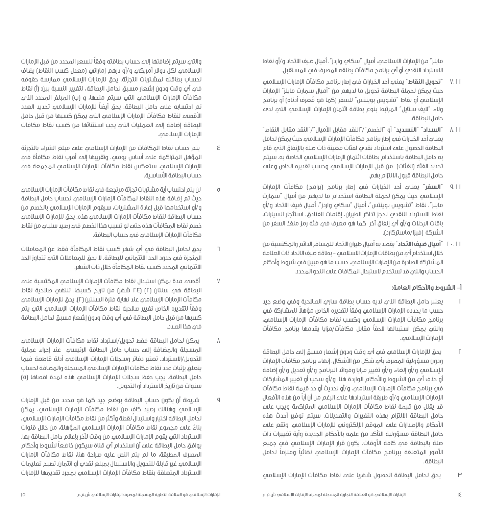مايلز" من اإلمارات االسالمي، أميال "سكاي واردز"، أميال ضيف االتحاد و/أو نقاط االسترداد النقدي أو أي برنامج مكافآت يطلقه المصرف في المستقبل.

- 7.1١ "**تحويل النقاط"** يعني أحد الخيارات في إطار برنامج مكافآت اإلمارات اإلسالمي حيث يمكن لحملة البطاقة تحويل ما لديهم من "أميال سمارت مايلز" اإلمارات الإسلامي أو نقاط ''تشويس بوينتس'' للسفر (كما هو مُعرف أدناه) أو برنامج والء "اليف ستايل" المرتبط بنوع بطاقة ائتمان اإلمارات اإلسالمي التي لدى حامل البطاقة.
- 8.1١ "**السداد" "التسديد**" أو "الخصم"/"النقد مقابل األميال"/"النقد مقابل النقاط" يعني أحد الخيارات في إطار برنامج مكافآت الإمارات الإسلامي حيث يمكن لحامل البطاقة الحصول على استرداد نقدي لفئات معينة ذات صلة باإلنفاق الذي قام به حامل البطاقة باستخدام بطاقات ائتمان اإلمارات اإلسالمي الخاصة به. سيتم تحديد الفئة (الفئات) من قبل الإمارات الإسلامي وحسب تقديره الخاص وعلهء حامل البطاقة قبول االلتزام بهم.
- 9.1١ "**السفر**" يعني أحد الخيارات في إطار برنامج )برامج( مكافآت اإلمارات اإلسالمي حيث يمكن لحملة البطاقة استخدام ما لديهم من أميال "سمارت مايلز"، نقاط "تشويس بوينتس"، أميال "سكاي واردز"، أميال ضيف االتحاد و/أو نقاط االسترداد النقدي لحجز تذاكر الطيران، إقامات الفنادق، استئجار السيارات، باقات الرحالت و/أو أي إنفاق آخر كما هو معرف في فئة رمز منفذ السفر من الشركة (فيزا/ماستركارد).
- 10.1١ "**أميال ضيف االتحاد**" يقصد به أميال طيران االتحاد للمسافر الدائم والمكتسبة من خلال استخدام أي من بطاقات الإمارات الاسلامي – بطاقة ضيف الاتحاد ذات العلامة المشتركة الصادرة من اإلمارات اإلسالمي، حسب ما هو مبين في شروط وأحكام الحساب والتي قد تستخدم الستبدال المكافات على النحو المحدد.

### **أ- الشروط واألحكام العامة:**

- 1 يعتبر حامل البطاقة الذي لديه حساب بطاقة ساري الصالحية وفي وضع جيد حسب ما يحدده الإمارات الإسلامي وفقا لتقديره الخاص مؤهلا للمشاركة في برنامج مكافآت الإمارات الإسلامي وكسب نقاط مكافآت الإمارات الإسلامي، ً والتي يمكن استبدالها الحقا مقابل مكافآت/مزايا يقدمها برنامج مكافآت الامارات الاسلامي.
- 2 يحق لإلمارات اإلسالمي في أي وقت ودون إشعار مسبق إلى حامل البطاقة ودون مسؤولية المصرف بأي شكل من األشكال، إنهاء برنامج مكافآت اإلمارات اإلسالمي و/أو إلغاء و/أو تغيير مزايا وفوائد البرنامج و/أو تعديل و/أو إضافة أو حذف أُ*بِ م*ن الشروط والأحكام الواردة هنا، و/أو سحب أو تغيير المشاركات في برنامج مكافآت اإلمارات اإلسالمي، و/أو تحديث أو حد قيمة نقاط مكافآت الإمارات الإسلاميي و/أو طريقة استردادها علمـَ الرغم من أن أياً من هذه الأفعال قد يقلل من قيمة نقاط مكافآت اإلمارات اإلسالمي المتراكمة ويجب على حامل البطاقة االلتزام بهذه التغيرات والتعديالت. سيتم توفير أحدث هذه الأحكام والإصدارات علمه الموقع الإلكترونيه للإمارات الإسلامي. وتقع على حامل البطاقة مسؤولية التأكد من علمه بالأحكام الجديدة وأية تغييرات ذات صلة بالبطاقة في كافة األوقات. يكون قرار اإلمارات اإلسالمي في جميع ً األمور المتعلقة ببرنامج مكافآت اإلمارات اإلسالمي نهائيا ً وملزما لحامل البطاقة.
- ٣ يحق لحامل البطاقة الحصول شهريا علمء نقاط مكافآت الإمارات الإسلامي

ً والتي سيتم إضافتها إلى حساب بطاقته وفقا للسعر المحدد من قبل اإلمارات اإلسالمي لكل دوالر أمريكي و/أو درهم إماراتي )معدل كسب النقاط( يضاف لحساب بطاقته لمشتريات التجزئة. يحق لإلمارات اإلسالمي ممارسة حقوقه في أي وقت ودون إشعار مسبق لحامل البطاقة، لتغيير النسبة بين: )أ( نقاط مكافآت الإمارات الإسلامي التي سيتم منحها، و (ب) المبلغ المحدد الذي ً تم احتسابه على حامل البطاقة. يحق أيضا لإلمارات اإلسالمي تحديد العدد الأقصەء لنقاط مكافآت الإمارات الإسلامەي التەي يمكن كسبها من قبل حامل البطاقة إضافة إلى العمليات التي يجب استثنائها من كسب نقاط مكافآت الإمارات الإسلامي.

- 4 يتم حساب نقاط المكافآت من اإلمارات اإلسالمي على مبلغ الشراء بالتجزئة المؤهل المتراكمة على أساس يومي، وتقريبها إلى أقرب نقاط مكافأة في الإمارات الإسلامي. ستعكس نقاط مكافآت الإمارات الإسلامي المجمعة في حساب البطاقة الأساسية.
- 5 لن يتم احتساب أية مشتريات تجزئة مرتجعة في نقاط مكافآت اإلمارات اإلسالمي حيث تم إضافة هذه النقاط لمكافآت اإلمارات اإلسالمي لحساب حامل البطاقة و/أو استخدامها قبل إعادة المشتريات، سيقوم اإلمارات اإلسالمي بالخصم من حساب البطاقة لنقاط مكافآت الإمارات الإسلامي هذه. يحق للإمارات الإسلامي خصم نقاط المكافآت هذه حتى لو تسبب هذا الخصم في رصيد سلبي من نقاط مكافآت اإلمارات اإلسالمي في حساب البطاقة.
- 6 يحق لحامل البطاقة في أي شهر كسب نقاط المكافأة فقط عن المعامالت المنجزة في حدود الحد االئتماني للبطاقة. ال يحق للمعامالت التي تتجاوز الحد االئتماني المحدد كسب نقاط المكافأة خالل ذات الشهر.
- 7 أقصى مدة يمكن استبدال نقاط مكافآت اإلمارات اإلسالمي المكتسبة على البطاقة هي سنتان (٢) (٢٤ شهر) من تاريخ كسبها. تنتهي صلاحية نقاط مكافآت الإمارات الإسلامي عند نهاية فترة السنتين (٢). يحق للإمارات الإسلامي ً وفقا لتقديره الخاص تغيير صالحية نقاط مكافآت اإلمارات اإلسالمي التي يتم كسبها من قبل حامل البطاقة في أي وقت ودون إشعار مسبق لحامل البطاقة في هذا الصدد.
- 8 يمكن لحامل البطاقة فقط تحويل/استرداد نقاط مكافآت اإلمارات اإلسالمي المسجلة والمضافة إلى حساب حامل البطاقة الرئيسي عند إجراء عملية التحويل/االسترداد. تعتبر دفاتر وسجالت اإلمارات اإلسالمي أدلة قاطعة فيما يتعلق بإثبات عدد نقاط مكافآت الإمارات الإسلامي المسجلة والمضافة لحساب حامل البطاقة. يجب حفظ سجلات الإمارات الإسلامي هذه لمدة اقصاها (٥) سنوات من تاريخ االسترداد أو التحويل.
- 9 شريطة أن يكون حساب البطاقة بوضع جيد كما هو محدد من قبل اإلمارات ٍ اإلسالمي وهنالك رصيد كاف من نقاط مكافآت اإلمارات اإلسالمي، يمكن لحامل البطاقة اختيار واستبدال نقطة وآكثر من نقاط مكافآت الإمارات الإسلامي، بناء على مجموع نقاط مكافآت اإلمارات اإلسالمي المؤهلة، من خالل قنوات ً االسترداد التي يقوم اإلمارات اإلسالمي من وقت آلخر بإعالم حامل البطاقة بها. ً يوافق حامل البطاقة على أن استخدام أي قناة سيكون خاضعا لشروط وأحكام المصرف المطبقة، ما لم يتم النص عليه صراحة هنا، نقاط مكافآت اإلمارات اإلسالمي غير قابلة للتحويل واالستبدال بمبلغ نقدي أو ائتمان. تصبح تعليمات االسترداد المتعلقة بنقاط مكافآت اإلمارات اإلسالمي بمجرد تقديمها لإلمارات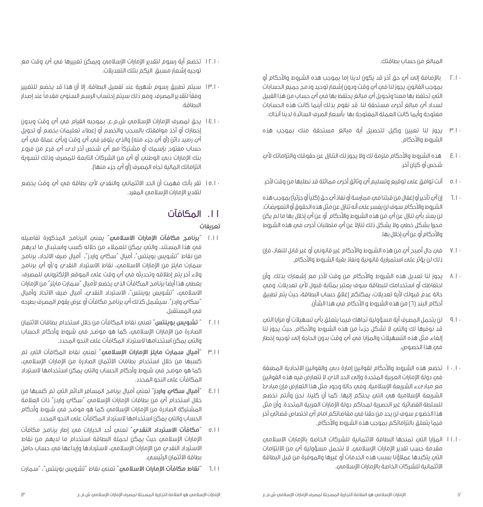المبالغ من حساب بطاقتك.

- 2.10 باإلضافة إلى أي حق آخر قد يكون لدينا إما بموجب هذه الشروط واألحكام أو بموجب القانون، يجوز لنا في أي وقت ودون إشعار توحيد ودمج جميع الحسابات التي تحتفظ بها معنا وتحويل أي مبالغ يحتفظ بها في أي حساب من هذا القبيل لسداد أي مبالغ أخرى مستحقة لنا. قد نقوم بذلك أينما كانت هذه الحسابات مفتوحة وأيما كانت العملة المفتوحة بها بأسعار الصرف السائدة لدينا آنذاك.
- 3.10 يجوز لنا تعيين وكيل لتحصيل أية مبالغ مستحقة منك بموجب هذه الشروط والأحكام.
- 4.10 هذه الشروط واألحكام ملزمة لك وال يجوز لك التنازل عن حقوقك والتزاماتك ألي شخص أو كيان آخر.
- 5.10 أنت توافق على توقيع وتسليم أي وثائق أخرى مماثلة قد نطلبها من وقت آلخر.
- 6.10 ً إن أي تأخير أو إغفال من قبلنا في ممارسة أو نفاذ أي حق )كليا ً أو جزئيا( بموجب هذه الشروط واألحكام سوف لن يفسر على أنه تنازل عن مثل هذه الحقوق أو التعويضات. لن يعتد بأي تنازل عن أي من هذه الشروط واألحكام أو عن أي إخالل بها ما لم يكن محررا بشكل خطي وال يشكل ذلك تنازال عن أي متطلبات أخرى في هذه الشروط والأحكام أو عن أي إخلال بها.
- 7.10 في حال أصبح أي من هذه الشروط واألحكام غير قانوني أو غير قابل للنفاذ، فإن ذلك لن يؤثر على استمرارية قانونية ونفاذ بقية الشروط واألحكام.
- 8.10 يجوز لنا تعديل هذه الشروط واألحكام من وقت آلخر مع إشعارك بذلك. وأن احتفاظك أو استخدامك للبطاقة سوف يعتبر بمثابة قبول لأمٍ تعديلات. وفمٍ حالة عدم قبولك لأية تعديلات، يمكنكم إغلاق حساب البطاقة، حيث يتم تطبيق أحكام البند (٦) من هذه الشروط و الأحكام في هذا الشأن.
- 9.10 لن يتحمل المصرف أية مسؤولية تجاهك فيما يتعلق بأي تسهيالت أو مزايا التي قد نوفرها لك والتي ال تشكل جزءاً من هذه الشروط واألحكام. حيث يجوز لنا إلغاء مثل هذه التسهيالت والمزايا في أي وقت بدون الحاجة إلى توجيه إخطار في هذا الخصوص.
- 10.10 تخضع هذه الشروط واألحكام لقوانين إمارة دبي والقوانين االتحادية المطبقة في دولة اإلمارات العربية المتحدة وإلى الحد الذي ال تتعارض فيه هذه القوانين مع مبادىء الشريعة اإلسالمية. وفي حالة وجود مثل هذا التعارض فإن مبادئ الشريعة اإلسالمية هي التي يحتكم إليها. كما أن كلينا، نحن وأنتم نخضع للسلطة القضائية غير الحصرية لمحاكم دولة اإلمارات العربية المتحدة. وأن مثل هذا الخضوع سوف لن يحد من حقنا في مقاضاتكم امام أي اختصاص قضائي آخر فيما يتعلق بالتزاماتكم بموجب هذه الشروط واألحكام.
- 11.10 المزايا التي تمنحها البطاقة االئتمانية للشركات الخاصة باإلمارات االسالمي مقدمة حسب تقدير اإلمارات اإلسالمي. ال نتحمل مسؤولية أي من االلتزامات التي يتكبدها عمالؤنا بسبب هذه الخدمات أو غيرها والموفرة من قبل البطاقة االئتمانية للشركات الخاصة باإلمارات اإلسالمي.
- ١٢.١٠ تخضع أية رسوم لتقدير الإمارات الإسلامي ويمكن تغييرها في أي وقت مع توجيه إشعار مسبق اليكم بتلك التعديالت.
- 13.10 سيتم تطبيق رسوم شهرية عند تفعيل البطاقة. إال أن هذا قد يخضع للتغيير ً وفقا ً لتقدير المصرف. ومع ذلك سيتم إحتساب الرسم السنوي مقدما عند إصدار البطاقة.
- 14.10 يحق لمصرف اإلمارات اإلسالمي ش.م.ع. بموجبه القيام في أي وقت وبدون إخطارك أو أخذ موافقتك بالسحب والخصم أو إعطاء تعليمات بخصم أو تحويل أي رصيد دائن (أو أُبِ جزء منه) والذي يتوفر في أبي وقت وبأبي عملة في أبي ً حساب مفتوح بإسمك أو مشتركا مع أي شخص آخر لدى أي فرع من فروع بنك اإلمارات دبي الوطني أو أي من الشركات التابعة للمصرف وذلك لتسوية التزاماتك المالية تجاه المصرف (أو أُي جزء منها).
- 15.10 تقر بأنك فهمت أن الحد االئتماني والنقدي ألي بطاقة في أي وقت يخضع لتقدير الإمارات الإسلامي المفرد.

## .11 المكافآت

### **تعريفات**

- 1.1١ "**برنامج مكافآت اإلمارات االسالمي**" يعني البرنامج المذكورة تفاصيله في هذا المستند، والتي يمكن للعمالء من خالله كسب واستبدال ما لديهم من نقاط "تشويس بوينتس"، أميال "سكاي واردز"، أميال ضيف االتحاد، برنامج سمارت مايلز من اإلمارات االسالمي، نقاط االسترداد النقدي و/أو أي برنامج والء آخر يتم إطلاقه وتحديثه في أبي وقت على الموقع الإلكتروني للمصرف. يغطم هذا أيضاً برنامج المكافآت الذي يخضع لأميال "سمارت مايلز" من الإمارات االسالمي، "تشويس بوينتس"، االسترداد النقدي، أميال ضيف االتحاد وأميال "سكاي واردز". سيشمل كذلك أي برنامج مكافآت أو عرض يقوم المصرف بطرحه في المستقبل.
- 2.1١ " **تشويس بوينتس**" تعني نقاط المكافآت من خالل استخدام بطاقات االئتمان الصادرة من اإلمارات اإلسالمي، كما هو موضح في شروط وأحكام الحساب والتي يمكن استخدامها السترداد المكافآت على النحو المحدد.
- 3.1١ "**أميال سمارت مايلز اإلمارات اإلسالمي**" تعني نقاط المكافآت التي تم كسبها من خالل استخدام بطاقات االئتمان الصادرة من اإلمارات اإلسالمي، كما هو موضح في شروط وأحكام الحساب والتي يمكن استخدامها السترداد المكافآت علمء النحو المحدد.
- 4.1١ "**أميال سكاي واردز**" تعني أميال برنامج المسافر الدائم التي تم كسبها من خلال استخدام أ $_2$  من بطاقات الإمارات الإسلامي "سكا $_2$  واردز" ذات العلامة المشتركة الصادرة من اإلمارات اإلسالمي كما هو موضح في شروط وأحكام الحساب والتي يمكن استخدامها السترداد المكافآت على النحو المحدد.
- 5.1١ "**مكافآت االسترداد النقدي**" تعني أحد الخيارات في إطار برنامج مكافآت اإلمارات اإلسالمي حيث يمكن لحملة البطاقة استخدام ما لديهم من نقاط االسترداد النقدي من اإلمارات اإلسالمي، الستردادها وإيداعها في حساب حامل بطاقة االئتمان الرئيسي.
- 6.1١ "**نقاط مكافآت اإلمارات االسالمي**" تعني نقاط "تشويس بوينتس"، "سمارت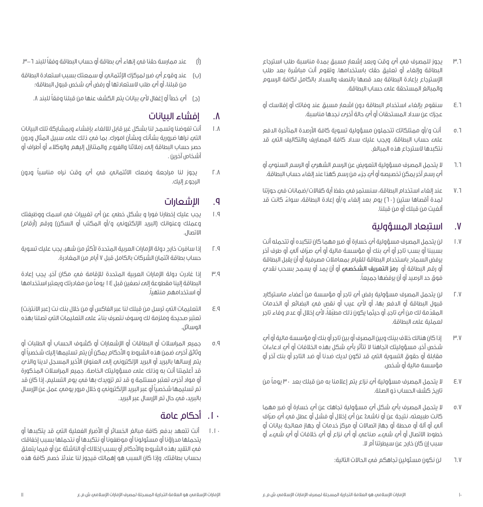- 3.6 يجوز للمصرف في أي وقت وبعد إشعار مسبق بمدة مناسبة طلب استرجاع البطاقة وإلغاء أو تعليق حقك باستخدامها. وتقوم أنت مباشرة بعد طلب اإلسترجاع بإعادة البطاقة بعد قصها بالنصف والسداد بالكامل لكافة الرسوم والمبالغ المستحقة على حساب البطاقة.
- 4.6 سنقوم بإلغاء استخدام البطاقة دون اشعار مسبق عند وفاتك أو إفالسك أو عجزك عن سداد المستحقات أو أي حالة أخرى نجدها مناسبة.
- 5.6 أنت و/أو ممتلكاتك تتحملون مسؤولية تسوية كافة األرصدة المتأخرة الدفع على حساب البطاقة. ويجب عليك سداد كافة المصاريف والتكاليف التي قد نتكبدها السترجاع هذه المبالغ.
- 6.6 ال يتحمل المصرف مسؤولية التعويض عن الرسم الشهري أو الرسم السنوي أو أي رسم آخر يمكن تخصيصه أو أي جزء من رسم كهذا عند إلغاء حساب البطاقة.
- 7.6 عند إلغاء استخدام البطاقة، سنستمر في حفظ أية كفاالت/ضمانات في حوزتنا لمدة أقصاها ستين (٦٠) يوم بعد إلغاء و/أو إعادة البطاقة، سواءً كانت قد ألغيت من قبلك أو من قبلنا.

### .7 استبعاد المسؤولية

- 1.7 لن يتحمل المصرف مسؤولية أي خسارة أو ضرر مهما كان تتكبده أو تتحمله أنت بسببنا او بسب تاجر او امـ بنك او مؤسسة مالية او امـِ صراف المـِ او طرف اخر يرفض السماح باستخدام البطاقة للقيام بمعامالت مصرفية أو أن يقبل البطاقة أو رقم البطاقة أو **رمز التعريف الشخصي** أو أن يمد أو يسمح بسحب نقدي ً فوق حد الرصيد أو أن يرفضها جميعا.
- 2.7 لن يتحمل المصرف مسؤولية رفض أي تاجر أو مؤسسة من أعضاء ماستركارد قبول البطاقة أو الدفع بها، أو ألي عيب أو نقص في البضائع أو الخدمات المقدَّمة لك من أمي تاجر، أو حيثما يكون ذلك مطبَّقا، لأمي إخلال أو عدم وفاء تاجر ֖֖֖֖֖֖֖֖֖֖֧ׅ֚֚֚֚֚֚֚֚֚֚֚֚֚֚֚֡֬֝֓֓֞֟֓֡֬֓֓֞֡֬֓֓֬֓֓֬֓֬֓֓֬֝֓֬֝֓֬֝֬֓֬֝֬֝֬֓֬֝֬֓֬֬֓֬֝֓֬֝֬֓֬֝֬֝֬֝֬֝֬֝֬֝֬֝֬ لعملية على البطاقة.
- 3.7 إذا كان هنالك خالف بينك وبين المصرف أو بين تاجر أو بنك أو مؤسسة مالية أو أي شخص أخر، مسؤوليتك اتجاهنا ال تتأثر بأي شكل بهذه الخالفات أو أي ادعاءات مقابلة أو حقوق التسوية التي قد تكون لديك ضدنا أو ضد التاجر أو بنك آخر أو مؤسسة مالية أو شخص.
- 4.7 ال يتحمل المصرف مسؤولية أي نزاع يتم إعالمنا به من قبلك بعد 30 ً يوما من تاريخ كشف الحساب ذو الصلة.
- 5.7 ال يتحمل المصرف بأي شكل أي مسؤولية تجاهك عن أي خسارة أو ضرر مهما كانت طبيعته، نتيجة عن او ناشمــُ عن اي إخلال أو فشل أو عطل فمــَ ايـَ صـراف آلي أو آلة أو محطة أو جهاز اتصاالت أو مركز خدمات أو جهاز معالجة بيانات أو خطوط االتصال أو أي شيء صناعي أو أي نزاع أو أي خالفات أو أي شيء أو سبب إن كان خارج عن سيطرتنا أم ال.
	- 6.7 لن نكون مسئولين تجاهكم في الحاالت التالية:
- )أ( ً عند ممارسة حقنا في إنهاء أي بطاقة أو حساب البطاقة وفقا للبند .3-6
- )ب( عند وقوع أي ضرر لمركزك اإلئتماني أو سمعتك بسبب استعادة البطاقة من قبلنا، أو أي طلب الستعادتها أو رفض أي شخص قبول البطاقة؛
	- (د) أي خطأ أو إغفال لأي بيانات يتم الكشف عنها من قبلنا وفقاً للبند ٨.

## .8 إفشاء البيانات

- 1.8 أنت تفوضنا وتسمح لنا بشكل غير قابل لاللغاء بإفشاء وبمشاركة تلك البيانات التهـ نراها ضرورية بشأنك وبشأن امورك. بما فيه ذلك عليه سبيل المثال ودون حصر حساب البطاقة إلى زمالئنا والفروع والمتنازل إليهم والوكالء أو أطراف أو أشخاص آخرين .
- 2.8 ً يجوز لنا مراجعة وضعك االئتماني في أي وقت نراه مناسبا ودون الرجوع إليك.

## .9 اإلشعارات

- 1.9 يجب عليك إخطارنا فورا و بشكل خطي عن أي تغييرات في اسمك ووظيفتك وعملك وعنوانك (البريد الإلكتروني و/أو المكتب أو السكن) ورقم (أرقام) االتصال.
- 2.9 إذا سافرت خارج دولة اإلمارات العربية المتحدة ألكثر من شهر، يجب عليك تسوية حساب بطاقة ائتمان الشركات بالكامل قبل 7 أيام من المغادرة.
- 3.9 إذا غادرت دولة اإلمارات العربية المتحدة لإلقامة في مكان آخر، يجب إعادة البطاقة إلينا مقطوعة إلى نصفين قبل 14 ً يوما من مغادرتك ويعتبر استخدامها ً أو استخدامهم منتهيا.
- 4.9 ِ التعليمات التي ترسل من قبلك لنا عبر الفاكس أو من خالل بنك نت )عبر االنترنت( ً تعتبر صحيحة وملزمة لك وسوف نتصرف بناء على التعليمات التي تصلنا بهذه الوسائل.
- 5.9 جميع المراسالت أو البطاقات أو اإلشعارات أو كشوف الحساب أو الطلبات أو ً وثائق أخرى ضمن هذه الشروط و األحكام يمكن أن يتم تسليمها إليك شخصيا أو يتم إرسالها بالبريد أو البريد الإلكتروني إلى العنوان الأخير المسجل لدينا والذي قد أعلمتنا أنت به وذلك على مسؤوليتك الخاصة. جميع المراسالت المذكورة أو مواد أخرى تعتبر مستلمة و قد تم تزويدك بها في يوم التسليم، إذا كان قد ً تم تسليمها شخصيا أو عبر البريد اإللكتروني و خالل مرور يومي عمل عن اإلرسال بالبريد، في حال تم اإلرسال عبر البريد.

## .10 أحكام عامة

1.10 أنت تتعهد بدفع كافة مبالغ الخسائر أو األضرار الفعلية التي قد يتكبدها أو يتحملها مدراؤنا أو مسئولونا أو موظفونا أو نتكبدها أو نتحملها بسبب إخفاقك في التقيد بهذه الشروط واألحكام أو بسبب إخاللك أو الناشئة عن أو فيما يتعلق بحساب بطاقتك. وإذا كان السبب هو إهمالك فيجوز لنا عندئذ خصم كافة هذه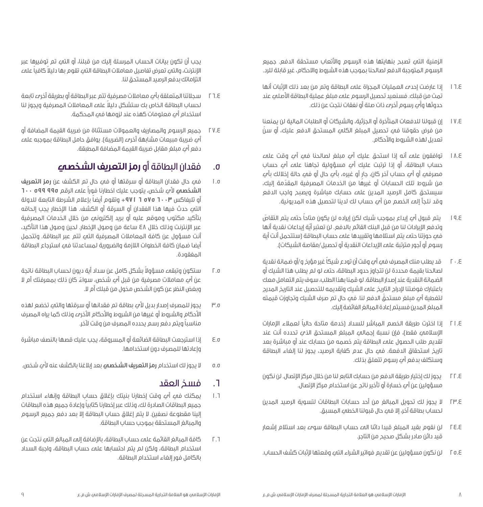الزمنية التي تصبح بنهايتها هذه الرسوم واألتعاب مستحقة الدفع. جميع الرسوم المتوجبة الدفع لصالحنا بموجب هذه الشروط واالحكام، غير قابلة للرد.

- 16.4 إذا عارضت إحدى العمليات المجراة على البطاقة وتم من بعد ذلك اإلثبات أنها ِ تمت من قبلك. فسنعيد تحصيل الرسوم على مبلغ عملية البطاقة األصلي عند حدوثها وأي رسوم أخرى ذات صلة أو نفقات نتجت عن ذلك.
- 17.4 إن قبولنا للدفعات المتأخرة أو الجزئية، والشيكات أو الطلبات المالية لن يمنعنا من فرض حقوقنا في تحصيل المبلغ الكلي المستحق الدفع عليك، أو سنّ تعديل لهذه الشروط واألحكام.
- 18.4 توافقون على أنه إذا استحق عليك أي مبلغ لصالحنا في أي وقت على حساب البطاقة، أو إذا ترتبت عليك أي مسؤولية تجاهنا على أي حساب ٍ مصرفي أو أي حساب آخر كان، جار أو غيره، بأي حال أو في حالة إخاللك بأي ّ من شروط تلك الحسابات أو غيرها من الخدمات المصرفية المقدمة إليك، سيستحق كامل الرصيد المدين على حسابك مباشرة ويصبح واجب الدفع وقد نلجأ إلى الخصم من أي حساب لك لدينا لتحصيل هذه المديونية.
- 19.4 ً يتم قبول أي إيداع بموجب شيك لكن إيراده لن يكون متاحا ّ حتى يتم التقاص وتدفع الإيرادات لنا من قبل البنك القائم بالدفع. لن تعتبر اية إيداعات نقدية انها فيه حوزتنا حتىه يتم استلامها وتقييدها علىه حساب البطاقة (ستتحمل أنت أية رسوم أو أجور مترتبة على اإليداعات النقدية أو تحصيل/مقاصة الشيكات(.
- 20.4 ً قد يطلب منك المصرف في أي وقت أن تودع شيكا غير مؤرخ و/أو ضمانة نقدية لصالحنا بقيمة محددة لن تتجاوز حدود البطاقة، حتى لو لم يطلب هذا الشيك أو الضمانة النقدية عند إصدار البطاقة. لو قمنا بهذا الطلب، سوف يتم التعامل معك باعتبارك فوضتنا إلدراج التاريخ على الشيك وتقديمه للتحصيل عند التاريخ المدرج ّ لتغطية أي مبلغ مستحق الدفع لنا. في حال تم صرف الشيك وتجاوزت قيمته المبلغ المدين فسيتم إعادة المبالغ الفائضة إليك.
- 21.4 ً إذا اخترت طريقة الخصم المباشر للسداد )خدمة متاحة حاليا لعمالء اإلمارات الإسلامي فقط)، فإن نسبة إجمالي المبلغ المستحق الذي تحدده أنت عند تقديم طلب الحصول على البطاقة يتم خصمه من حسابك عند أو مباشرة بعد تاريخ استحقاق الدفعة. في حال عدم كفاية الرصيد، يجوز لنا إلغاء البطاقة وستكلف بدفع أي رسوم تتعلق بذلك.
- 22.4 يجوز لك إختيار طريقة الدفع من حسابك التابع لنا من خالل مركز اإلتصال. لن نكون مسؤولين عن أي خسارة أو تأخير ناتج عن استخدام مركز اإلتصال.
- 23.4 ال يجوز لك تحويل المبالغ من أحد حسابات البطاقات لتسوية الرصيد المدين لحساب بطاقة آخر، إال في حال قبولنا الخطي المسبق.
- 24.4 لن نقوم بقيد المبلغ قيدا دائنا الى حساب البطاقة سوى بعد استالم إشعار قيد دائن صادر بشكل صحيح من التاجر.
- 25.4 لن نكون مسؤولين عن تقديم فواتير الشراء التي وقعتها إلثبات كشف الحساب.

يجب أن تكون بيانات الحساب المرسلة إليك من قبلنا، أو التي تم توفيرها عبر ً اإلنترنت، والتي تعرض تفاصيل معامالت البطاقة التي تقوم بها دليال ً كافيا على التزاماتك بدفع الرصيد المستحق لنا.

- 26.4 سجالتنا المتعلقة بأي معامالت مصرفية تتم عبر البطاقة أو بطريقة أخرى تابعة ً لحساب البطاقة الخاص بك ستشكل دليال على المعامالت المصرفية ويجوز لنا استخدام أي معلومات كهذه عند لزومها في المحكمة.
- 27.4 جميع الرسوم والمصاريف والعموالت مستثناة من ضريبة القيمة المضافة أو أي ضربية مبيعات مشابهة أخرى (الضربية). يوافق حامل البطاقة بموجبه على دفع أي مبلغ مقابل ضريبة القيمة المضافة المطبقة.

## .5 فقدان البطاقة أو **رمز التعريف الشخصي**

- 1.5 في حال فقدان البطاقة أو سرقتها أو في حال تم الكشف عن **رمز التعريف الشخصي** ألي شخص، يتوجب عليك اخطارنا فوراً على الرقم **995 599 600** أو تليفاكس **6003 575 6 +971** ً وتقوم أيضا بإعالم الشرطة التابعة للدولة التي حدث فيها هذا الفقدان أو السرقة أو الكشف. هذا اإلخطار يجب إلحاقه بتأكيد مكتوب وموقع عليه أو بريد إلكتروني من خالل الخدمات المصرفية عبر اإلنترنت وذلك خالل 48 ساعة من وصول اإلخطار. لحين وصول هذا التأكيد، أنت مسؤول عن كافة المعامالت المصرفية التي تتم عبر البطاقة. وتتحمل أيضا ضمان كافة الخطوات اللازمة والضرورية لمساعدتنا فمء استرجاع البطاقة المفقودة.
- 2.5 ً ستكون وتبقى مسؤوال بشكل كامل عن سداد أية ديون لحساب البطاقة ناتجة ً عن أي معامالت مصرفية من قبل أي شخص، سواء كان ذلك بمعرفتك أم ال وبغض النظر عن كون الشخص مخول من قبلك أم ال.
- 3.5 يجوز للمصرف إصدار بديل ألي بطاقة تم فقدانها أو سرقتها والتي تخضع لهذه الأحكام والشروط أو غيرها من الشروط والأحكام الأخرىء وذلك كما يراه المصرف ً مناسبا ويتم دفع رسم يحدده المصرف من وقت آلخر.
- 4.5 إذا استرجعت البطاقة الضائعة أو المسروقة، يجب عليك قصها بالنصف مباشرة وإعادتها للمصرف دون استخدامها.
- 5.5 ال يجوز لك استخدام **رمز التعريف الشخصي** بعد إبالغنا بالكشف عنه ألي شخص.

### .6 فسخ العقد

- 1.6 يمكنك في أي وقت إخطارنا بنيتك بإغالق حساب البطاقة وإنهاء استخدام ً جميع البطاقات الصادرة لك، وذلك عبر إخطارنا كتابيا وإعادة جميع هذه البطاقات إلينا مقطوعة نصفين. ال يتم إغالق حساب البطاقة إال بعد دفع جميع الرسوم والمبالغ المستحقة بموجب حساب البطاقة.
- 1.1 كافة المبالغ القائمة علم حساب البطاقة، بالإضافة الم المبالغ التم نتجت عن استخدام البطاقة، ولكن لم يتم احتسابها على حساب البطاقة، واجبة السداد بالكامل فور إلغاء استخدام البطاقة.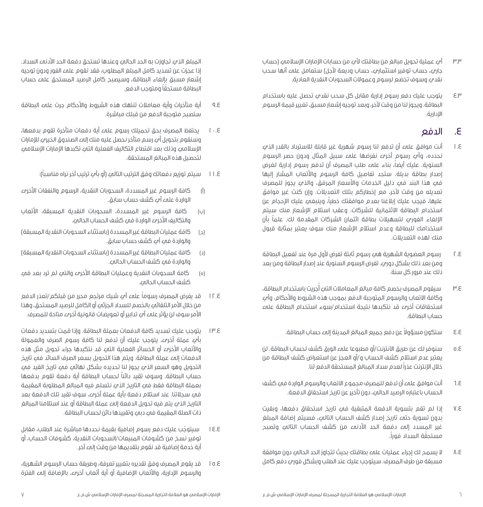- 3.3 أي عملية تحويل مبالغ من بطاقتك ألي من حسابات اإلمارات اإلسالمي )حساب جاري، حساب توفير استثماري، حساب وديعة لأجل) ستعامل علي أنها سحب نقدي وسوف تخضع لرسوم وعموالت السحوبات النقدية العادية.
- 4.3 يتوجب عليك دفع رسوم إدارية مقابل كل سحب نقدي تحصل عليه باستخدام البطاقة. ويجوز لنا من وقت آلخر، وبعد توجيه إشعار مسبق، تغيير قيمة الرسوم اإلدارية.

### .4 الدفع

- 1.4 أنت موافق على أن تدفع لنا رسوم شهرية غير قابلة لالسترداد بالقدر الذي نحدده، وأي رسوم أخرى نفرضها على سبيل المثال ودون حصر الرسوم السنوية. عليك أيضاً، بناء علمء طلب المصرف أن تدفع رسوم إدارية لغرض إصدار بطاقة بديلة. ستجد تفاصيل كافة الرسوم واألتعاب المشار إليها فيه هذا البند فيه دليل الخدمات والأسعار المرفق، والذي يجوز للمصرف تعديله من وقت آلخر، مع إخطاركم بتلك التعديالت. وإن كنت غير موافق ً عليها، فيجب عليك إبالغنا بعدم موافقتك خطيا، وينبغي عليك اإلحجام عن استخدام البطاقة االئتمانية للشركات. وعقب استالم اإلشعار منك سيتم ً اإللغاء الفوري لتسهيالت بطاقة ائتمان الشركات المقدمة لك. علما بأن استخدامك للبطاقة وعدم استالم اإلشعار منك سوف يعتبر بمثابة قبول منك لهذه التعديالت.
- 2.4 رسوم العضوية الشهرية هي رسوم ثابتة تفرض ألول مرة عند تفعيل البطاقة ومن بعد ذلك بشكل دوري. تفرض الرسوم السنوية عند إصدار البطاقة ومن بعد ذلك عند مرور كل سنة.
- 3.4 سيقوم المصرف بخصم كافة مبالغ المعامالت التي أُجريت باستخدام البطاقة، وكافة االتعاب والرسوم المتوجبة الدفع بموجب هذه الشروط واألحكام، وأي استحقاقات أخرى قد نتكبدها نتيجة استخدام/سوء استخدام البطاقة على حساب البطاقة.
	- 4.4 ً ستكون مسؤوال عن دفع جميع المبالغ المدينة إلى حساب البطاقة.
- 5.4 سنوفر لك عن طريق االنترنت/أو مطبوعا على الورق كشف لحساب البطاقة. لن يعتبر عدم استالم كشف الحساب و/أو العجز عن استعراض كشف البطاقة من خالل اإلنترنت عذراً لعدم سداد المبالغ المستحقة الدفع لنا.
- 6.4 أنت موافق على أن تدفع للمصرف مجموع االتعاب والرسوم الواردة في كشف الحساب باعتباره الرصيد الحالي، دون تأخير عن تاريخ استحقاق الدفعة.
- 7.4 إذا لم تقم بتسوية الدفعة المتبقية في تاريخ استحقاق دفعها، وبقيت بدون تسوية حتى تاريخ إصدار كشف الحساب التالي، فسيتم إضافة المبلغ غير المسدد إلى دفعة الحد األدنى من كشف الحساب التالي وتصبح ّ مستحقة السداد فورا.ً
- 8.4 ال يسمح لك إجراء عمليات على بطاقتك بحيث تتجاوز الحد الحالي دون موافقة مسبقة من طرف المصرف. سيتوجب عليك عند الطلب وبشكل فوري دفع كامل

المبلغ الذي تجاوزت به الحد الحالي وعندها تستحق دفعة الحد األدنى السداد. إذا عجزت عن تسديد كامل المبلغ المطلوب، فقد نقوم على الفور ودون توجيه إشعار مسبق بإلغاء البطاقة، وسيصبح كامل الرصيد المستحق على حساب ّ البطاقة مستحقًا ومتوجب الدفع.

- 9.4 أية متأخرات وأية معامالت تنتهك هذه الشروط واألحكام جرت على البطاقة ستصبح متوجبة الدفع من قبلك مباشرة.
- 10.4 يحتفظ المصرف بحق تحميلك رسوم على أية دفعات متأخرة تقوم بدفعها، وسنقوم بتحويل أي رسم متأخر نحصل عليه منك إلى الصندوق الخيري لإلمارات اإلسالمي وذلك بعد اقتطاع التكاليف الفعلية التي تكبدها اإلمارات اإلسالمي لتحصيل هذه المبالغ المستحقة.
	- 11.4 ً سيتم توزيع دفعاتك وفق الترتيب التالي )أو بأي ترتيب آخر نراه مناسبا(:
- )أ( كافة الرسوم غير المسددة، السحوبات النقدية، الرسوم والنفقات األخرى الواردة على أي كشف حساب سابق.
- )ب( كافة الرسوم غير المسددة، السحوبات النقدية المسبقة، األتعاب والتكاليف الأخرىء الواردة في كشف الحساب الحالي.
- (د) كافة عمليات البطاقة غير المسددة (باستثناء السحوبات النقدية المسبقة) والواردة في أي كشف حساب سابق.
- )د( كافة عمليات البطاقة غير المسددة )باستثناء السحوبات النقدية المسبقة( والواردة في كشف الحساب الحالي.
- (ه) كافة السحوبات النقدية وعمليات البطاقة الأخرىء والتي لم ترد بعد في كشف الحساب الحالي.
- 12.4 ً قد يفرض المصرف رسوما على أي شيك مرتجع محرر من قبلكم/تعذر الدفع من خلال الأمر التلقائي بالخصم للسداد الجزئي أو الكامل للرصيد المستحق، وهذا األمر سوف لن يؤثر على أي تدابير أو تعويضات قانونية أخرى متاحة للمصرف.
- 13.4 يتوجب عليك تسديد كافة الدفعات بعملة البطاقة. وإذا قمت بتسديد دفعات بأي عملة أخرى، يتوجب عليك أن تدفع لنا كافة رسوم الصرف والعمولة والأتعاب الأخرى أو الخسائر الفعلية التهـ قد نتكبدها جراء تحويل مثل هذه الدفعات إلى عملة البطاقة. ويتم هذا التحويل بسعر الصرف السائد في تاريخ التحويل وهو السعر الذي يجوز لنا تحديده بشكل نهائي في تاريخ القيد في ً حساب البطاقة. وسوف تقيد دائنا لحساب البطاقة أية دفعة تقوم بدفعها بعملة البطاقة فقط فيه التاريخ الذي نتسلم فيه المبالغ المطلوبة المقيمة في سجالتنا. عند استالم دفعة بأية عملة أخرى، سوف تقيد تلك الدفعة بعد التاريخ الذي يتم فيه تحويل الدفعة إلى عملة البطاقة أو عند استالمنا المبالغ ذات الصلة المقيمة في دبي وتقييدها دائن لحساب البطاقة.
- سيتوجب عليك دفع رسوم إضافية بقيمة نحددها مباشرة عند الطلب، مقابل ّ 14.4 توفير نسخ من كشوفات المبيعات/السحوبات النقدية، كشوفات الحساب، أو أية خدمة إضافية قد نقوم بتقديمها من وقت إلى آخر.
- 15.4 قد يقوم المصرف وفق تقديره بتغيير تعرفة، وطريقة حساب الرسوم الشهرية، والرسوم اإلدارية، واألتعاب اإلضافية أو أية أتعاب أخرى، باإلضافة إلى الفترة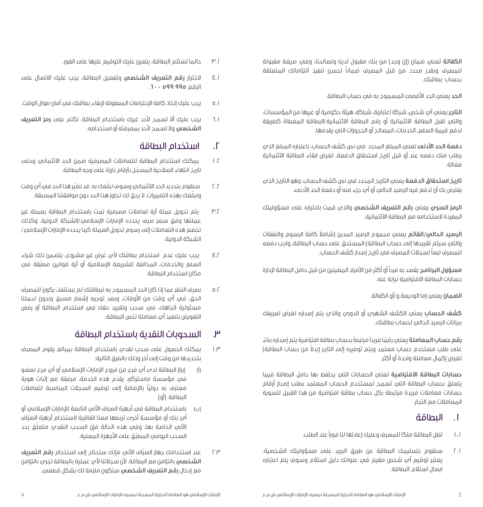**الكفالة** تعني ضمان )إن وجد( من بنك مقبول لدينا ولصالحنا، وفي صيغة مقبولة ً للمصرف وبقدر محدد من قبل المصرف ضمانا لحسن تنفيذ التزاماتك المتعلقة بحساب بطاقتك.

**الحد** يعني الحد األقصى المسموح به في حساب البطاقة.

**التاجر** يعني أي شخص، شركة اعتبارية، شراكة، هيئة حكومية أو غيرها من المؤسسات، والتي تقبل البطاقة االئتمانية أو رقم البطاقة االئتمانية/البطاقة المغطاة كطريقة لدفع قيمة السلع، الخدمات، المصالح أو الحجوزات التي يقدمها.

**دفعة الحد األدنى** تعني المبلغ المحدد في نص كشف الحساب، باعتباره المبلغ الذي يطلب منك دفعه عند أو قبل تاريخ استحقاق الدفعة، لغرض ابقاء البطاقة االئتمانية فعّالة.

**تاريخ استحقاق الدفعة** يعني التاريخ المحدد في نص كشف الحساب، وهو التاريخ الذي يفترض بك أن تدفع فيه الرصيد الحالي أو أي جزء منه أو دفعة الحد األدنى.

**الرمز السري** يعني **رقم التعريف الشخصي** والذي قمت باختياره على مسؤوليتك المفردة الستخدامه مع البطاقة االئتمانية.

**الرصيد الحالي/القائم** ً يعني مجموع الرصيد المدين )شامال كافة الرسوم والنفقات والتي سيتم تقييدها إلى حساب البطاقة) المستحق على حساب البطاقة، واجب دفعه للمصرف تبعاً لسجلات المصرف فمء تاريخ إصدار كشف الحساب.

**مسؤول البرنامج** يقصد به فرداً أو أكثر من األفراد المعينين من قبل حامل البطاقة إلدارة حسابات البطاقة االفتراضية نيابة عنه.

**الضمان** يعني إما الوديعة و/أو الكفالة.

**كشف الحساب** يعني الكشف الشهري أو الدوري والذي يتم إصداره لغرض تعريفك ببيانات الرصيد الحالي لحساب بطاقتك.

**رقم حساب المعاملة** يعن*يه* رقمًا فريداً مرتبطاً بحساب بطاقة افتراضية يتم إصداره بناءً علهـ طلب مستخدم حساب معتمد ويتم توفيره إلهـ التاجر (بدلاً من حساب البطاقة) لغرض إكمال معاملة واحدة أو أكثر.

**حسابات البطاقة االفتراضية** تعني الحسابات التي يحتفظ بها حامل البطاقة فيما يتعلق بحساب البطاقة التي تسمح لمستخدم الحساب المعتمد بطلب إصدار أرقام حسابات معامالت فريدة مرتبطة بكل حساب بطاقة افتراضية من هذا القبيل لتسوية المعامالت مع التجار.

### .1 البطاقة

- 1.1 تظل البطاقة ملكا للمصرف وعليك إعادتها لنا فوراً عند الطلب.
- 2.1 سنقوم بتسليمك البطاقة عن طريق البريد على مسؤوليتك الشخصية. يعتبر توقيع أي شخص مقيم فيه عنوانك دليل استلام وسوف يتم اعتباره ايصال استالم البطاقة.
- 3.1 حالما تستلم البطاقة، يتعين عليك التوقيع عليها على الفور.
- 4.1 الختيار **رقم التعريف الشخصي** وتفعيل البطاقة، يجب عليك االتصال على الرقم **995 599** .**600**
- 5.1 يجب عليك إتخاذ كافة اإلحتياطات المعقولة إلبقاء بطاقتك في أمان طوال الوقت.
- 6.1 يجب عليك أال تسمح ألحد غيرك باستخدام البطاقة. تكتم على **رمز التعريف الشخصي** وال تسمح ألحد بمعرفته أو استخدامه.

### .2 استخدام البطاقة

- 1.2 يمكنك استخدام البطاقة للتعامالت المصرفية ضمن الحد االئتماني وحتى تاريخ انتهاء الصالحية المسجل بأرقام بارزة على وجه البطاقة. ֖֖֖֖֖֖֖֖֧֚֚֚֚֚֚֚֚֚֚֚֚֚֚֚֚֡<u>֚</u><br>֩֩֩
- ٢.٢ ٪ سنقوم بتحديد الحد الائتماني وسوف نبلغك به. قد نغير هذا الحد فيء ايء وقت ّ ونبلغك بهذه التغييرات. ال يحق لك تجاوز هذا الحد دون موافقتنا المسبقة.
- 3.2 يتم تحويل عملة أية تعامالت مصرفية تمت باستخدام البطاقة بعملة غير عملتها وفق سعر صرف يحدده الإمارات الإسلامي/الشبكة الدولية. وكذلك تخضع هذه التعامالت إلى رسوم تحويل العملة كما يحدده اإلمارات اإلسالمي/ الشبكة الدولية.
- 4.2 يجب عليك عدم استخدام بطاقتك ألي غرض غير مشروع، يتضمن ذلك شراء السلع والخدمات، المخالفة للشريعة الإسلامية او اية قوانين مطبقة فهـِ مكان استخدام البطاقة.
- 5.2 بصرف النظر عما إذا كان الحد المسموح به لبطاقتك لم يستنفذ، يكون للمصرف الحق، فيه أي وقت من الأوقات، وبعد توجيه إشعار مسبق وبدون تحملنا مسئولية اتجاهك، فيه سحب وتقييد حقك فيه استخدام البطاقة أو رفض التفويض بتنفيذ أي معاملة تخص البطاقة.

### .3 السحوبات النقدية باستخدام البطاقة

- 1.3 يمكنك الحصول على سحب نقدي باستخدام البطاقة بمبالغ يقوم المصرف بتحديدها من وقت إلى آخر وذلك بالطرق التالية:
- )أ( إبراز البطاقة لدى أي فرع من فروع اإلمارات اإلسالمي أو أي فرع لعضو فيه مؤسسة ماستركارد يقدّم هذه الخدمة، مرفقة مع إثبات هوية معترف به دوليًا بالإضافة إلى توقيع السجلات المناسبة لتعاملات ֧֧֖֖֖֖֖֖֧֚֚֚֚֚֚֓֕֓֝֬<u>֓</u> البطاقة. (أو)
- )ب( باستخدام البطاقة في أجهزة الصراف اآللي التابعة لإلمارات اإلسالمي أو ا $\eta$  بنك او مؤسسة اخرىء تربطها معنا اتفاقية لاستخدام اجهزة الصراف الآلي الخاصة بها، وفيه هذه الحالة فإن السحب النقدي متعلّق بحد السحب اليوممي المطبق علمء الاجهزة المعنية.
- ّاف اآللي فإنك ستحتاج إلى استخدام **رقم التعريف** 2.3 عند استخدامك جهاز الصر **الشخصي** بالتزامن مع البطاقة. ألن سجالتنا ألي عملية بالبطاقة تجري بالتزامن مع إدخال **رقم التعريف الشخصي** ستكون ملزمة لك بشكل قطعي.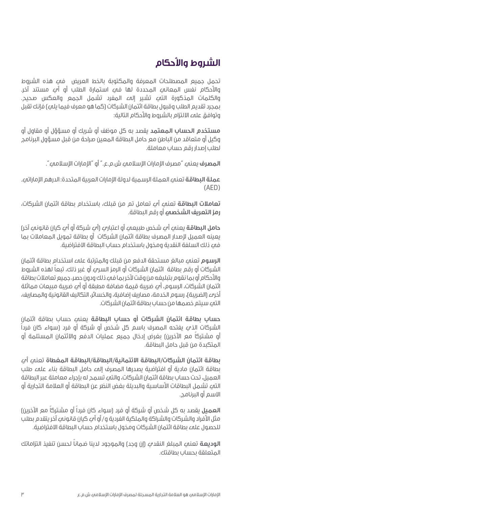## **الشروط واألحكام**

تحمل جميع المصطلحات المعرفة والمكتوبة بالخط العريض في هذه الشروط واألحكام نفس المعاني المحددة لها في استمارة الطلب أو أي مستند آخر. والكلمات المذكورة التي تشير إلى المفرد تشمل الجمع والعكس صحيح. بمجرد تقديم الطلب وقبول بطاقة ائتمان الشركات (كما هو معرف فيما يليع) فإنك تقبل وتوافق على االلتزام بالشروط واألحكام التالية:

**مستخدم الحساب المعتمد** يقصد به كل موظف أو شريك أو مسؤؤل أو مقاول أو وكيل أو متعاقد من الباطن مع حامل البطاقة المعين صراحة من قبل مسؤول البرنامج لطلب إصدار رقم حساب معاملة.

**المصرف** يعني "مصرف اإلمارات اإلسالمي ش.م.ع." أو "اإلمارات اإلسالمي".

**عملة البطاقة** تعني العملة الرسمية لدولة اإلمارات العربية المتحدة: الدرهم اإلماراتي.  $(AFD)$ 

**تعامالت البطاقة** تعني أي تعامل تم من قبلك، باستخدام بطاقة ائتمان الشركات، **رمز التعريف الشخصي** أو رقم البطاقة.

**حامل البطاقة** يعني أي شخص طبيعي أو اعتباري )أي شركة أو أي كيان قانوني آخر( يعينه العميل إلصدار المصرف بطاقة ائتمان الشركات أو بطاقة تمويل المعامالت بما في ذلك السلفة النقدية ومخول باستخدام حساب البطاقة االفتراضية.

**الرسوم** تعني مبالغ مستحقة الدفع من قبلك والمترتبة على استخدام بطاقة ائتمان ً الشركات أو رقم بطاقة ائتمان الشركات أو الرمز السري أو غير ذلك، تبعا لهذه الشروط واألحكام أو بما نقوم بتبليغه من وقت آلخر بما في ذلك ودون حصر، جميع تعامالت بطاقة ائتمان الشركات، الرسوم، أي ضريبة قيمة مضافة مطبقة أو أي ضريبة مبيعات مماثلة أخرى (الضريبة)، رسوم الخدمة، مصاريف إضافية، والخسائر، التكاليف القانونية والمصاريف، التي سيتم خصمها من حساب بطاقة ائتمان الشركات.

**حساب بطاقة ائتمان الشركات أو حساب البطاقة** يعني حساب بطاقة ائتمان الشركات الذي يفتحه المصرف باسم كل شخص أو شركة أو فرد )سواء كان فرداً أو مشتركا مع الآخرين) بغرض إدخال جميع عمليات الدفع والائتمان المستلمة أو المتكبدة من قبل حامل البطاقة.

**بطاقة ائتمان الشركات/البطاقة االئتمانية/البطاقة/البطاقة المغطاة** تعني أي بطاقة ائتمان مادية أو افتراضية يصدرها المصرف إلى حامل البطاقة بناء على طلب العميل، تحت حساب بطاقة ائتمان الشركات، والتي تسمح له بإجراء معاملة عبر البطاقة التي تشمل البطاقات األساسية والبديلة بغض النظر عن البطاقة أو العالمة التجارية أو االسم أو البرنامج.

**العميل** بقصد به كل شخص أو شركة أو فرد (سواء كان فرداً أو مشتركاً مع الآخرين) مثل الأفراد والشركات والشراكة والملكية الفردية و/ أو أمٍ كيان قانونمٍ آخر يتقدم بطلب للحصول علهء بطاقة ائتمان الشركات ومخول باستخدام حساب البطاقة الافتراضية.

**الوديعة** ً تعني المبلغ النقدي )إن وجد( والموجود لدينا ضمانا لحسن تنفيذ التزاماتك المتعلقة بحساب بطاقتك.